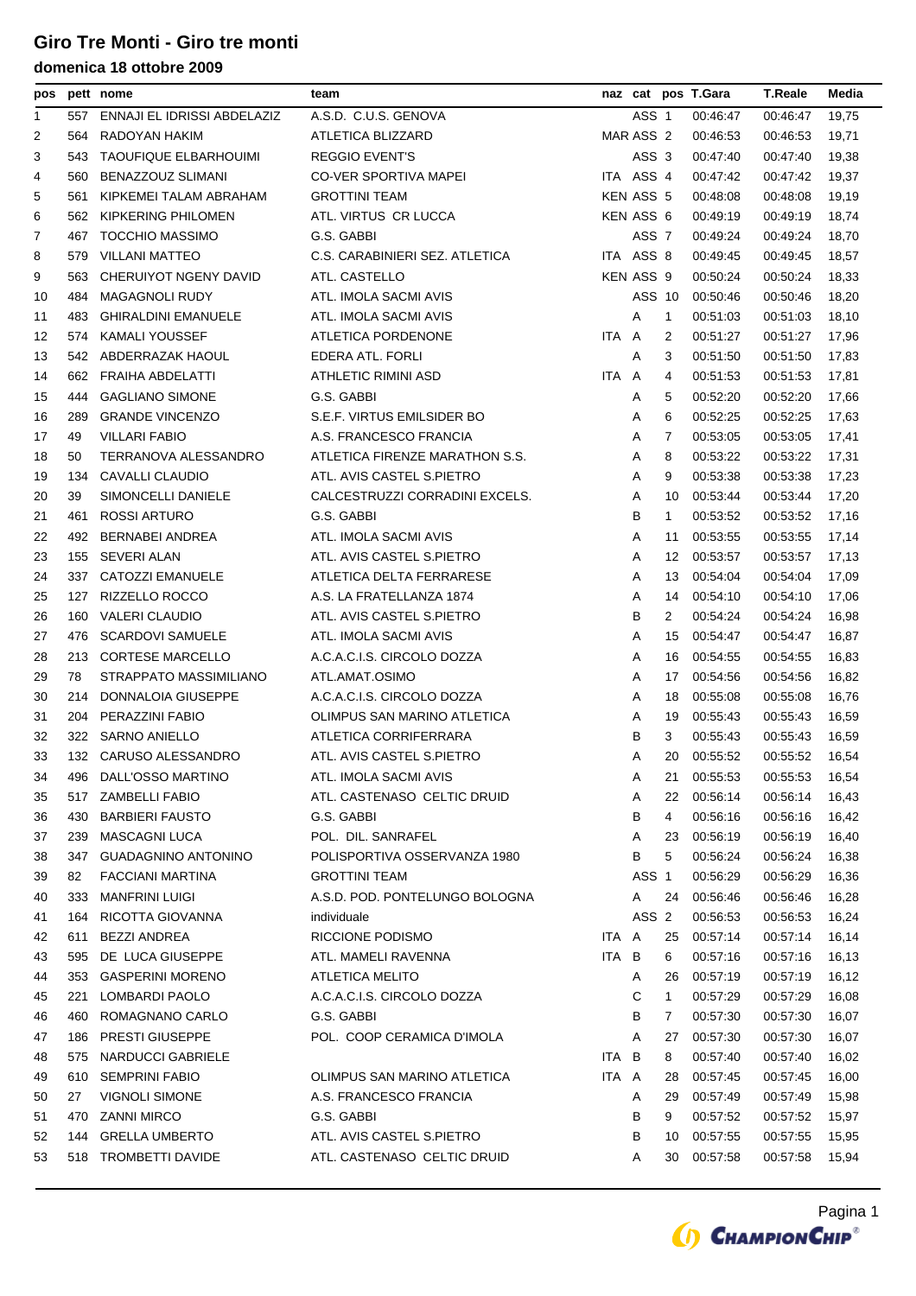| pos |     | pett nome                       | team                           |       |           |                | naz cat pos T.Gara | <b>T.Reale</b> | Media |
|-----|-----|---------------------------------|--------------------------------|-------|-----------|----------------|--------------------|----------------|-------|
| 1   |     | 557 ENNAJI EL IDRISSI ABDELAZIZ | A.S.D. C.U.S. GENOVA           |       | ASS 1     |                | 00:46:47           | 00:46:47       | 19,75 |
| 2   | 564 | RADOYAN HAKIM                   | ATLETICA BLIZZARD              |       | MAR ASS 2 |                | 00:46:53           | 00:46:53       | 19,71 |
| 3   | 543 | <b>TAOUFIQUE ELBARHOUIMI</b>    | <b>REGGIO EVENT'S</b>          |       | ASS 3     |                | 00:47:40           | 00:47:40       | 19,38 |
| 4   | 560 | BENAZZOUZ SLIMANI               | <b>CO-VER SPORTIVA MAPEI</b>   |       | ITA ASS 4 |                | 00:47:42           | 00:47:42       | 19,37 |
| 5   | 561 | KIPKEMEI TALAM ABRAHAM          | <b>GROTTINI TEAM</b>           |       | KEN ASS 5 |                | 00:48:08           | 00:48:08       | 19,19 |
| 6   | 562 | KIPKERING PHILOMEN              | ATL. VIRTUS CR LUCCA           |       | KEN ASS 6 |                | 00:49:19           | 00:49:19       | 18,74 |
| 7   | 467 | <b>TOCCHIO MASSIMO</b>          | G.S. GABBI                     |       | ASS 7     |                | 00:49:24           | 00:49:24       | 18,70 |
| 8   | 579 | <b>VILLANI MATTEO</b>           | C.S. CARABINIERI SEZ. ATLETICA |       | ITA ASS 8 |                | 00:49:45           | 00:49:45       | 18,57 |
| 9   | 563 | CHERUIYOT NGENY DAVID           | ATL. CASTELLO                  |       | KEN ASS 9 |                | 00:50:24           | 00:50:24       | 18,33 |
| 10  | 484 | <b>MAGAGNOLI RUDY</b>           | ATL. IMOLA SACMI AVIS          |       | ASS 10    |                | 00:50:46           | 00:50:46       | 18,20 |
| 11  | 483 | <b>GHIRALDINI EMANUELE</b>      | ATL. IMOLA SACMI AVIS          |       | Α         | $\mathbf{1}$   | 00:51:03           | 00:51:03       | 18,10 |
| 12  | 574 | <b>KAMALI YOUSSEF</b>           | ATLETICA PORDENONE             | ITA A |           | 2              | 00:51:27           | 00:51:27       | 17,96 |
| 13  |     | 542 ABDERRAZAK HAOUL            | EDERA ATL. FORLI               |       | Α         | 3              | 00:51:50           | 00:51:50       | 17,83 |
| 14  | 662 | FRAIHA ABDELATTI                | ATHLETIC RIMINI ASD            | ITA A |           | 4              | 00:51:53           | 00:51:53       | 17,81 |
| 15  | 444 | <b>GAGLIANO SIMONE</b>          | G.S. GABBI                     |       | A         | 5              | 00:52:20           | 00:52:20       | 17,66 |
| 16  | 289 | <b>GRANDE VINCENZO</b>          | S.E.F. VIRTUS EMILSIDER BO     |       | Α         | 6              | 00:52:25           | 00:52:25       | 17,63 |
| 17  | 49  | <b>VILLARI FABIO</b>            | A.S. FRANCESCO FRANCIA         |       | Α         | 7              | 00:53:05           | 00:53:05       | 17,41 |
| 18  | 50  | TERRANOVA ALESSANDRO            | ATLETICA FIRENZE MARATHON S.S. |       | Α         | 8              | 00:53:22           | 00:53:22       | 17,31 |
| 19  | 134 | CAVALLI CLAUDIO                 | ATL. AVIS CASTEL S.PIETRO      |       | Α         | 9              | 00:53:38           | 00:53:38       | 17,23 |
| 20  | 39  | SIMONCELLI DANIELE              | CALCESTRUZZI CORRADINI EXCELS. |       | Α         | 10             | 00:53:44           | 00:53:44       | 17,20 |
| 21  | 461 | <b>ROSSI ARTURO</b>             | G.S. GABBI                     |       | B         | $\mathbf{1}$   | 00:53:52           | 00:53:52       | 17,16 |
| 22  | 492 | BERNABEI ANDREA                 | ATL. IMOLA SACMI AVIS          |       | Α         | 11             | 00:53:55           | 00:53:55       | 17,14 |
| 23  | 155 | SEVERI ALAN                     | ATL. AVIS CASTEL S.PIETRO      |       | Α         | 12             | 00:53:57           | 00:53:57       | 17,13 |
| 24  |     | 337 CATOZZI EMANUELE            | ATLETICA DELTA FERRARESE       |       | Α         | 13             | 00:54:04           | 00:54:04       | 17,09 |
| 25  | 127 | RIZZELLO ROCCO                  | A.S. LA FRATELLANZA 1874       |       | Α         | 14             | 00:54:10           | 00:54:10       | 17,06 |
| 26  | 160 | <b>VALERI CLAUDIO</b>           | ATL. AVIS CASTEL S.PIETRO      |       | B         | $\overline{2}$ | 00:54:24           | 00:54:24       | 16,98 |
| 27  | 476 | <b>SCARDOVI SAMUELE</b>         | ATL. IMOLA SACMI AVIS          |       | Α         | 15             | 00:54:47           | 00:54:47       | 16,87 |
| 28  | 213 | <b>CORTESE MARCELLO</b>         | A.C.A.C.I.S. CIRCOLO DOZZA     |       | Α         | 16             | 00:54:55           | 00:54:55       | 16,83 |
| 29  | 78  | STRAPPATO MASSIMILIANO          | ATL.AMAT.OSIMO                 |       | Α         | 17             | 00:54:56           | 00:54:56       | 16,82 |
| 30  | 214 | DONNALOIA GIUSEPPE              | A.C.A.C.I.S. CIRCOLO DOZZA     |       | Α         | 18             | 00:55:08           | 00:55:08       | 16,76 |
| 31  | 204 | PERAZZINI FABIO                 | OLIMPUS SAN MARINO ATLETICA    |       | Α         | 19             | 00:55:43           | 00:55:43       | 16,59 |
| 32  |     | 322 SARNO ANIELLO               | ATLETICA CORRIFERRARA          |       | B         | 3              | 00:55:43           | 00:55:43       | 16,59 |
| 33  |     | 132 CARUSO ALESSANDRO           | ATL. AVIS CASTEL S.PIETRO      |       | A         |                | 20 00:55:52        | 00:55:52       | 16,54 |
| 34  |     | 496 DALL'OSSO MARTINO           | ATL. IMOLA SACMI AVIS          |       | A         | 21             | 00:55:53           | 00:55:53       | 16,54 |
| 35  | 517 | ZAMBELLI FABIO                  | ATL. CASTENASO CELTIC DRUID    |       | Α         | 22             | 00:56:14           | 00:56:14       | 16,43 |
| 36  | 430 | <b>BARBIERI FAUSTO</b>          | G.S. GABBI                     |       | в         | 4              | 00:56:16           | 00:56:16       | 16,42 |
| 37  | 239 | <b>MASCAGNI LUCA</b>            | POL. DIL. SANRAFEL             |       | Α         | 23             | 00:56:19           | 00:56:19       | 16,40 |
| 38  | 347 | <b>GUADAGNINO ANTONINO</b>      | POLISPORTIVA OSSERVANZA 1980   |       | в         | 5              | 00:56:24           | 00:56:24       | 16,38 |
| 39  | 82  | <b>FACCIANI MARTINA</b>         | <b>GROTTINI TEAM</b>           |       | ASS 1     |                | 00:56:29           | 00:56:29       | 16,36 |
| 40  | 333 | <b>MANFRINI LUIGI</b>           | A.S.D. POD. PONTELUNGO BOLOGNA |       | Α         | 24             | 00:56:46           | 00:56:46       | 16,28 |
| 41  | 164 | RICOTTA GIOVANNA                | individuale                    |       | ASS 2     |                | 00:56:53           | 00:56:53       | 16,24 |
| 42  | 611 | <b>BEZZI ANDREA</b>             | RICCIONE PODISMO               | ITA A |           | 25             | 00:57:14           | 00:57:14       | 16,14 |
| 43  | 595 | DE LUCA GIUSEPPE                | ATL. MAMELI RAVENNA            | ITA B |           | 6              | 00:57:16           | 00:57:16       | 16,13 |
| 44  | 353 | <b>GASPERINI MORENO</b>         | <b>ATLETICA MELITO</b>         |       | Α         | 26             | 00:57:19           | 00:57:19       | 16,12 |
| 45  | 221 | LOMBARDI PAOLO                  | A.C.A.C.I.S. CIRCOLO DOZZA     |       | С         | $\mathbf{1}$   | 00:57:29           | 00:57:29       | 16,08 |
| 46  | 460 | ROMAGNANO CARLO                 | G.S. GABBI                     |       | в         | 7              | 00:57:30           | 00:57:30       | 16,07 |
| 47  | 186 | <b>PRESTI GIUSEPPE</b>          | POL. COOP CERAMICA D'IMOLA     |       | Α         | 27             | 00:57:30           | 00:57:30       | 16,07 |
| 48  | 575 | <b>NARDUCCI GABRIELE</b>        |                                | ITA B |           | 8              | 00:57:40           | 00:57:40       | 16,02 |
| 49  | 610 | <b>SEMPRINI FABIO</b>           | OLIMPUS SAN MARINO ATLETICA    | ITA A |           | 28             | 00.57:45           | 00:57:45       | 16,00 |
| 50  | 27  | <b>VIGNOLI SIMONE</b>           | A.S. FRANCESCO FRANCIA         |       | Α         | 29             | 00:57:49           | 00:57:49       | 15,98 |
| 51  | 470 | <b>ZANNI MIRCO</b>              | G.S. GABBI                     |       | в         | 9              | 00:57:52           | 00:57:52       | 15,97 |
| 52  |     | 144 GRELLA UMBERTO              | ATL. AVIS CASTEL S.PIETRO      |       | в         | 10             | 00:57:55           | 00:57:55       | 15,95 |
| 53  |     | 518 TROMBETTI DAVIDE            | ATL. CASTENASO CELTIC DRUID    |       | Α         | 30             | 00:57:58           | 00:57:58       | 15,94 |
|     |     |                                 |                                |       |           |                |                    |                |       |

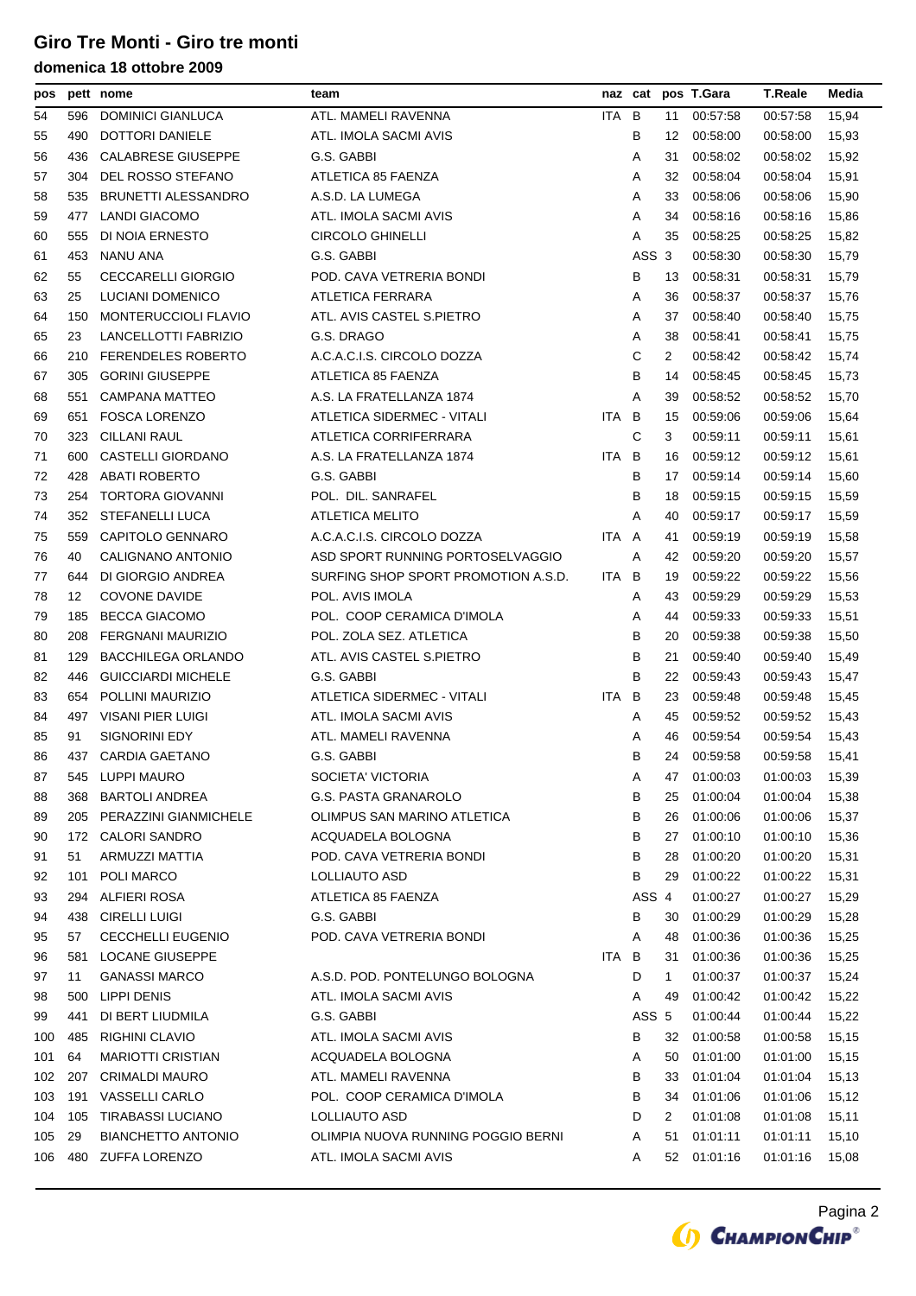| pos |     | pett nome                 | team                                |       | naz cat |    | pos T.Gara  | <b>T.Reale</b> | Media |
|-----|-----|---------------------------|-------------------------------------|-------|---------|----|-------------|----------------|-------|
| 54  | 596 | <b>DOMINICI GIANLUCA</b>  | ATL. MAMELI RAVENNA                 | ITA B |         | 11 | 00:57:58    | 00:57:58       | 15,94 |
| 55  | 490 | DOTTORI DANIELE           | ATL. IMOLA SACMI AVIS               |       | в       | 12 | 00:58:00    | 00:58:00       | 15,93 |
| 56  | 436 | <b>CALABRESE GIUSEPPE</b> | G.S. GABBI                          |       | Α       | 31 | 00:58:02    | 00:58:02       | 15,92 |
| 57  | 304 | DEL ROSSO STEFANO         | ATLETICA 85 FAENZA                  |       | Α       | 32 | 00:58:04    | 00:58:04       | 15,91 |
| 58  | 535 | BRUNETTI ALESSANDRO       | A.S.D. LA LUMEGA                    |       | Α       | 33 | 00:58:06    | 00:58:06       | 15,90 |
| 59  | 477 | LANDI GIACOMO             | ATL. IMOLA SACMI AVIS               |       | Α       | 34 | 00:58:16    | 00:58:16       | 15,86 |
| 60  | 555 | DI NOIA ERNESTO           | <b>CIRCOLO GHINELLI</b>             |       | Α       | 35 | 00:58:25    | 00:58:25       | 15,82 |
| 61  | 453 | NANU ANA                  | G.S. GABBI                          |       | ASS 3   |    | 00:58:30    | 00:58:30       | 15,79 |
| 62  | 55  | <b>CECCARELLI GIORGIO</b> | POD. CAVA VETRERIA BONDI            |       | В       | 13 | 00:58:31    | 00:58:31       | 15,79 |
| 63  | 25  | LUCIANI DOMENICO          | ATLETICA FERRARA                    |       | Α       | 36 | 00:58:37    | 00:58:37       | 15,76 |
| 64  | 150 | MONTERUCCIOLI FLAVIO      | ATL. AVIS CASTEL S.PIETRO           |       | Α       | 37 | 00:58:40    | 00:58:40       | 15,75 |
| 65  | 23  | LANCELLOTTI FABRIZIO      | G.S. DRAGO                          |       | Α       | 38 | 00:58:41    | 00:58:41       | 15,75 |
| 66  |     | 210 FERENDELES ROBERTO    | A.C.A.C.I.S. CIRCOLO DOZZA          |       | С       | 2  | 00:58:42    | 00:58:42       | 15,74 |
| 67  | 305 | <b>GORINI GIUSEPPE</b>    | ATLETICA 85 FAENZA                  |       | B       | 14 | 00:58:45    | 00:58:45       | 15,73 |
| 68  | 551 | CAMPANA MATTEO            | A.S. LA FRATELLANZA 1874            |       | Α       | 39 | 00:58:52    | 00:58:52       | 15,70 |
| 69  | 651 | <b>FOSCA LORENZO</b>      | ATLETICA SIDERMEC - VITALI          | ITA.  | B       | 15 | 00:59:06    | 00:59:06       | 15,64 |
| 70  | 323 | <b>CILLANI RAUL</b>       | ATLETICA CORRIFERRARA               |       | C       | 3  | 00:59:11    | 00:59:11       | 15,61 |
| 71  | 600 | CASTELLI GIORDANO         | A.S. LA FRATELLANZA 1874            | ITA B |         | 16 | 00:59:12    | 00:59:12       | 15,61 |
| 72  | 428 | <b>ABATI ROBERTO</b>      | G.S. GABBI                          |       | В       | 17 | 00:59:14    | 00:59:14       | 15,60 |
| 73  |     | 254 TORTORA GIOVANNI      | POL. DIL. SANRAFEL                  |       | B       | 18 | 00:59:15    | 00:59:15       | 15,59 |
| 74  |     | 352 STEFANELLI LUCA       | <b>ATLETICA MELITO</b>              |       | Α       | 40 | 00:59:17    | 00:59:17       | 15,59 |
| 75  | 559 | CAPITOLO GENNARO          | A.C.A.C.I.S. CIRCOLO DOZZA          | ITA A |         | 41 | 00:59:19    | 00:59:19       | 15,58 |
| 76  | 40  | CALIGNANO ANTONIO         | ASD SPORT RUNNING PORTOSELVAGGIO    |       | Α       | 42 | 00:59:20    | 00:59:20       | 15,57 |
| 77  | 644 | DI GIORGIO ANDREA         | SURFING SHOP SPORT PROMOTION A.S.D. | ITA B |         | 19 | 00:59:22    | 00:59:22       | 15,56 |
| 78  | 12  | <b>COVONE DAVIDE</b>      | POL. AVIS IMOLA                     |       | Α       | 43 | 00:59:29    | 00:59:29       | 15,53 |
| 79  | 185 | <b>BECCA GIACOMO</b>      | POL. COOP CERAMICA D'IMOLA          |       | Α       | 44 | 00:59:33    | 00:59:33       | 15,51 |
| 80  | 208 | FERGNANI MAURIZIO         | POL. ZOLA SEZ. ATLETICA             |       | В       | 20 | 00:59:38    | 00:59:38       | 15,50 |
| 81  | 129 | <b>BACCHILEGA ORLANDO</b> | ATL. AVIS CASTEL S.PIETRO           |       | В       | 21 | 00:59:40    | 00:59:40       | 15,49 |
| 82  | 446 | <b>GUICCIARDI MICHELE</b> | G.S. GABBI                          |       | В       | 22 | 00 59:43    | 00:59:43       | 15,47 |
| 83  | 654 | POLLINI MAURIZIO          | ATLETICA SIDERMEC - VITALI          | ITA B |         | 23 | 00:59:48    | 00:59:48       | 15,45 |
| 84  | 497 | VISANI PIER LUIGI         | ATL. IMOLA SACMI AVIS               |       | Α       | 45 | 00:59:52    | 00:59:52       | 15,43 |
| 85  | 91  | <b>SIGNORINI EDY</b>      | ATL. MAMELI RAVENNA                 |       | Α       | 46 | 00:59:54    | 00:59:54       | 15,43 |
| 86  |     | 437 CARDIA GAETANO        | G.S. GABBI                          |       | В       |    | 24 00:59:58 | 00:59:58       | 15,41 |
| 87  | 545 | <b>LUPPI MAURO</b>        | SOCIETA' VICTORIA                   |       | Α       | 47 | 01:00:03    | 01:00:03       | 15,39 |
| 88  | 368 | <b>BARTOLI ANDREA</b>     | G.S. PASTA GRANAROLO                |       | В       | 25 | 01:00:04    | 01:00:04       | 15,38 |
| 89  | 205 | PERAZZINI GIANMICHELE     | OLIMPUS SAN MARINO ATLETICA         |       | В       | 26 | 01:00:06    | 01:00:06       | 15,37 |
| 90  | 172 | <b>CALORI SANDRO</b>      | ACQUADELA BOLOGNA                   |       | В       | 27 | 01:00:10    | 01:00:10       | 15,36 |
| 91  | 51  | ARMUZZI MATTIA            | POD. CAVA VETRERIA BONDI            |       | в       | 28 | 01:00:20    | 01:00:20       | 15,31 |
| 92  | 101 | POLI MARCO                | LOLLIAUTO ASD                       |       | в       | 29 | 01:00:22    | 01:00:22       | 15,31 |
| 93  | 294 | ALFIERI ROSA              | ATLETICA 85 FAENZA                  |       | ASS 4   |    | 01:00:27    | 01:00:27       | 15,29 |
| 94  | 438 | <b>CIRELLI LUIGI</b>      | G.S. GABBI                          |       | В       | 30 | 01:00:29    | 01:00:29       | 15,28 |
| 95  | 57  | <b>CECCHELLI EUGENIO</b>  | POD. CAVA VETRERIA BONDI            |       | Α       | 48 | 01:00:36    | 01:00:36       | 15,25 |
| 96  | 581 | LOCANE GIUSEPPE           |                                     | ITA B |         | 31 | 01:00:36    | 01:00:36       | 15,25 |
| 97  | 11  | <b>GANASSI MARCO</b>      | A.S.D. POD. PONTELUNGO BOLOGNA      |       | D       | 1  | 01:00:37    | 01:00:37       | 15,24 |
| 98  | 500 | LIPPI DENIS               | ATL. IMOLA SACMI AVIS               |       | Α       | 49 | 01:00:42    | 01:00:42       | 15,22 |
| 99  | 441 | DI BERT LIUDMILA          | G.S. GABBI                          |       | ASS 5   |    | 01:00:44    | 01:00:44       | 15,22 |
| 100 | 485 | <b>RIGHINI CLAVIO</b>     | ATL. IMOLA SACMI AVIS               |       | в       | 32 | 01:00:58    | 01:00:58       | 15,15 |
| 101 | 64  | <b>MARIOTTI CRISTIAN</b>  | ACQUADELA BOLOGNA                   |       | Α       | 50 | 01:01:00    | 01:01:00       | 15,15 |
| 102 | 207 | <b>CRIMALDI MAURO</b>     | ATL. MAMELI RAVENNA                 |       | в       | 33 | 01:01:04    | 01:01:04       | 15,13 |
| 103 | 191 | VASSELLI CARLO            | POL. COOP CERAMICA D'IMOLA          |       | в       | 34 | 01:01:06    | 01:01:06       | 15,12 |
| 104 | 105 | <b>TIRABASSI LUCIANO</b>  | LOLLIAUTO ASD                       |       | D       | 2  | 01:01:08    | 01:01:08       | 15,11 |
| 105 | 29  | <b>BIANCHETTO ANTONIO</b> | OLIMPIA NUOVA RUNNING POGGIO BERNI  |       | Α       | 51 | 01:01:11    | 01:01:11       | 15,10 |
| 106 |     | 480 ZUFFA LORENZO         | ATL. IMOLA SACMI AVIS               |       | Α       | 52 | 01:01:16    | 01:01:16       | 15,08 |

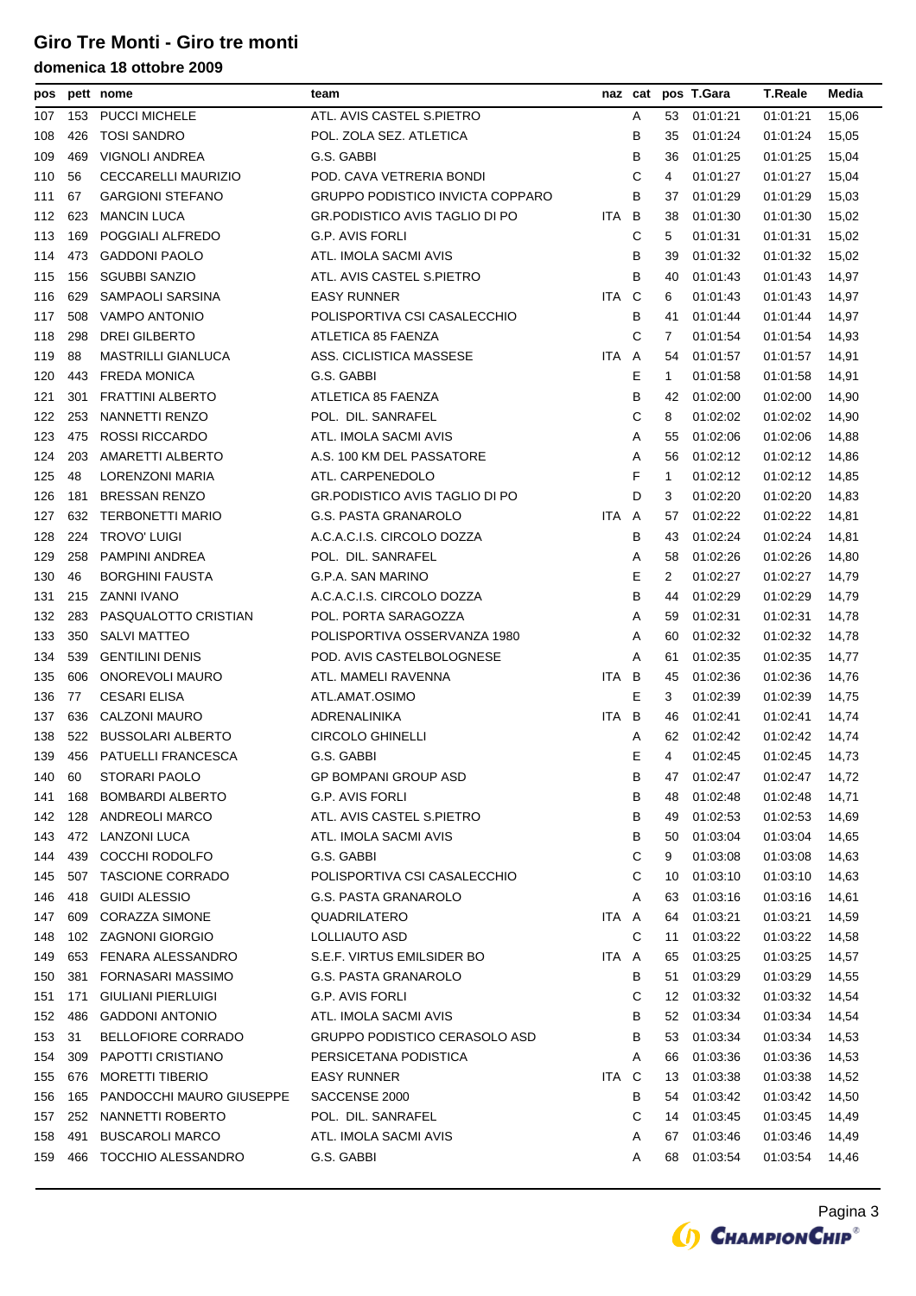| pos |     | pett nome                 | team                                    |       |     |             | naz cat pos T.Gara | <b>T.Reale</b> | Media |
|-----|-----|---------------------------|-----------------------------------------|-------|-----|-------------|--------------------|----------------|-------|
| 107 | 153 | <b>PUCCI MICHELE</b>      | ATL. AVIS CASTEL S.PIETRO               |       | Α   | 53          | 01:01:21           | 01:01:21       | 15,06 |
| 108 | 426 | <b>TOSI SANDRO</b>        | POL. ZOLA SEZ. ATLETICA                 |       | В   | 35          | 01:01:24           | 01:01:24       | 15,05 |
| 109 | 469 | VIGNOLI ANDREA            | G.S. GABBI                              |       | В   | 36          | 01:01:25           | 01:01:25       | 15,04 |
| 110 | 56  | CECCARELLI MAURIZIO       | POD. CAVA VETRERIA BONDI                |       | C   | 4           | 01:01:27           | 01:01:27       | 15,04 |
| 111 | 67  | <b>GARGIONI STEFANO</b>   | <b>GRUPPO PODISTICO INVICTA COPPARO</b> |       | B   | 37          | 01:01:29           | 01:01:29       | 15,03 |
| 112 | 623 | <b>MANCIN LUCA</b>        | <b>GR.PODISTICO AVIS TAGLIO DI PO</b>   | ITA.  | - B | 38          | 01:01:30           | 01:01:30       | 15,02 |
| 113 | 169 | POGGIALI ALFREDO          | G.P. AVIS FORLI                         |       | С   | 5           | 01:01:31           | 01:01:31       | 15,02 |
| 114 | 473 | <b>GADDONI PAOLO</b>      | ATL. IMOLA SACMI AVIS                   |       | В   | 39          | 01:01:32           | 01:01:32       | 15,02 |
| 115 | 156 | <b>SGUBBI SANZIO</b>      | ATL. AVIS CASTEL S.PIETRO               |       | B   | 40          | 01:01:43           | 01:01:43       | 14,97 |
| 116 | 629 | SAMPAOLI SARSINA          | <b>EASY RUNNER</b>                      | ITA C |     | 6           | 01:01:43           | 01:01:43       | 14,97 |
| 117 | 508 | VAMPO ANTONIO             | POLISPORTIVA CSI CASALECCHIO            |       | В   | 41          | 01:01:44           | 01:01:44       | 14,97 |
| 118 | 298 | DREI GILBERTO             | ATLETICA 85 FAENZA                      |       | С   | 7           | 01:01:54           | 01:01:54       | 14,93 |
| 119 | 88  | <b>MASTRILLI GIANLUCA</b> | ASS. CICLISTICA MASSESE                 | ITA A |     | 54          | 01:01:57           | 01:01:57       | 14,91 |
| 120 | 443 | <b>FREDA MONICA</b>       | G.S. GABBI                              |       | Ε   | $\mathbf 1$ | 01:01:58           | 01:01:58       | 14,91 |
| 121 | 301 | <b>FRATTINI ALBERTO</b>   | ATLETICA 85 FAENZA                      |       | В   | 42          | 01:02:00           | 01:02:00       | 14,90 |
| 122 | 253 | NANNETTI RENZO            | POL. DIL. SANRAFEL                      |       | C   | 8           | 01:02:02           | 01:02:02       | 14,90 |
| 123 | 475 | ROSSI RICCARDO            | ATL. IMOLA SACMI AVIS                   |       | Α   | 55          | 01:02:06           | 01:02:06       | 14,88 |
| 124 | 203 | AMARETTI ALBERTO          | A.S. 100 KM DEL PASSATORE               |       | Α   | 56          | 01:02:12           | 01:02:12       | 14,86 |
| 125 | 48  | LORENZONI MARIA           | ATL. CARPENEDOLO                        |       | F   | $\mathbf 1$ | 01:02:12           | 01:02:12       | 14,85 |
| 126 | 181 | <b>BRESSAN RENZO</b>      | <b>GR.PODISTICO AVIS TAGLIO DI PO</b>   |       | D   | 3           | 01:02:20           | 01:02:20       | 14,83 |
| 127 | 632 | <b>TERBONETTI MARIO</b>   | <b>G.S. PASTA GRANAROLO</b>             | ITA A |     | 57          | 01:02:22           | 01:02:22       | 14,81 |
| 128 | 224 | <b>TROVO' LUIGI</b>       | A.C.A.C.I.S. CIRCOLO DOZZA              |       | B   | 43          | 01:02:24           | 01:02:24       | 14,81 |
| 129 | 258 | PAMPINI ANDREA            | POL. DIL. SANRAFEL                      |       | Α   | 58          | 01:02:26           | 01:02:26       | 14,80 |
| 130 | 46  | <b>BORGHINI FAUSTA</b>    | G.P.A. SAN MARINO                       |       | Е   | 2           | 01:02:27           | 01:02:27       | 14,79 |
| 131 | 215 | ZANNI IVANO               | A.C.A.C.I.S. CIRCOLO DOZZA              |       | B   | 44          | 01:02:29           | 01:02:29       | 14,79 |
| 132 | 283 | PASQUALOTTO CRISTIAN      | POL. PORTA SARAGOZZA                    |       | Α   | 59          | 01:02:31           | 01:02:31       | 14,78 |
| 133 | 350 | <b>SALVI MATTEO</b>       | POLISPORTIVA OSSERVANZA 1980            |       | Α   | 60          | 01:02:32           | 01:02:32       | 14,78 |
| 134 | 539 | <b>GENTILINI DENIS</b>    | POD. AVIS CASTELBOLOGNESE               |       | Α   | 61          | 01:02:35           | 01:02:35       | 14,77 |
| 135 | 606 | ONOREVOLI MAURO           | ATL. MAMELI RAVENNA                     | ITA   | B   | 45          | 01:02:36           | 01:02:36       | 14,76 |
| 136 | 77  | <b>CESARI ELISA</b>       | ATL.AMAT.OSIMO                          |       | Е   | 3           | 01:02:39           | 01:02:39       | 14,75 |
| 137 | 636 | CALZONI MAURO             | <b>ADRENALINIKA</b>                     | ITA   | B   | 46          | 01:02:41           | 01:02:41       | 14,74 |
| 138 | 522 | <b>BUSSOLARI ALBERTO</b>  | <b>CIRCOLO GHINELLI</b>                 |       | Α   | 62          | 01:02:42           | 01:02:42       | 14,74 |
| 139 |     | 456 PATUELLI FRANCESCA    | G.S. GABBI                              |       | Е   | 4           | 01:02:45           | 01:02:45       | 14,73 |
| 140 | 60  | STORARI PAOLO             | GP BOMPANI GROUP ASD                    |       | В   | 47          | 01:02:47           | 01:02:47       | 14,72 |
| 141 | 168 | <b>BOMBARDI ALBERTO</b>   | G.P. AVIS FORLI                         |       | в   | 48          | 01:02:48           | 01:02:48       | 14,71 |
| 142 | 128 | ANDREOLI MARCO            | ATL. AVIS CASTEL S.PIETRO               |       | В   | 49          | 01:02:53           | 01:02:53       | 14,69 |
| 143 | 472 | <b>LANZONI LUCA</b>       | ATL. IMOLA SACMI AVIS                   |       | В   | 50          | 01:03:04           | 01:03:04       | 14,65 |
| 144 | 439 | <b>COCCHI RODOLFO</b>     | G.S. GABBI                              |       | С   | 9           | 01:03:08           | 01:03:08       | 14,63 |
| 145 | 507 | <b>TASCIONE CORRADO</b>   | POLISPORTIVA CSI CASALECCHIO            |       | С   | 10          | 01:03:10           | 01:03:10       | 14,63 |
| 146 | 418 | <b>GUIDI ALESSIO</b>      | <b>G.S. PASTA GRANAROLO</b>             |       | Α   | 63          | 01:03:16           | 01:03:16       | 14,61 |
| 147 | 609 | <b>CORAZZA SIMONE</b>     | QUADRILATERO                            | ITA   | A   | 64          | 01:03:21           | 01:03:21       | 14,59 |
| 148 |     | 102 ZAGNONI GIORGIO       | LOLLIAUTO ASD                           |       | С   | 11          | 01:03:22           | 01:03:22       | 14,58 |
| 149 | 653 | FENARA ALESSANDRO         | S.E.F. VIRTUS EMILSIDER BO              | ITA A |     | 65          | 01:03:25           | 01:03:25       | 14,57 |
| 150 | 381 | FORNASARI MASSIMO         | G.S. PASTA GRANAROLO                    |       | В   | 51          | 01:03:29           | 01:03:29       | 14,55 |
| 151 | 171 | <b>GIULIANI PIERLUIGI</b> | G.P. AVIS FORLI                         |       | С   | 12          | 01:03:32           | 01:03:32       | 14,54 |
| 152 | 486 | <b>GADDONI ANTONIO</b>    | ATL. IMOLA SACMI AVIS                   |       | В   | 52          | 01:03:34           | 01:03:34       | 14,54 |
| 153 | 31  | <b>BELLOFIORE CORRADO</b> | GRUPPO PODISTICO CERASOLO ASD           |       | В   | 53          | 01:03:34           | 01:03:34       | 14,53 |
| 154 | 309 | PAPOTTI CRISTIANO         | PERSICETANA PODISTICA                   |       | Α   | 66          | 01:03:36           | 01:03:36       | 14,53 |
| 155 | 676 | <b>MORETTI TIBERIO</b>    | <b>EASY RUNNER</b>                      | ITA   | C   | 13          | 01:03:38           | 01:03:38       | 14,52 |
| 156 | 165 | PANDOCCHI MAURO GIUSEPPE  | SACCENSE 2000                           |       | В   | 54          | 01:03:42           | 01:03:42       | 14,50 |
| 157 | 252 | NANNETTI ROBERTO          | POL. DIL. SANRAFEL                      |       | С   | 14          | 01:03:45           | 01:03:45       | 14,49 |
| 158 | 491 | <b>BUSCAROLI MARCO</b>    | ATL. IMOLA SACMI AVIS                   |       | Α   | 67          | 01:03:46           | 01:03:46       | 14,49 |
| 159 | 466 | TOCCHIO ALESSANDRO        | G.S. GABBI                              |       | A   | 68          | 01:03:54           | 01:03:54       | 14,46 |
|     |     |                           |                                         |       |     |             |                    |                |       |

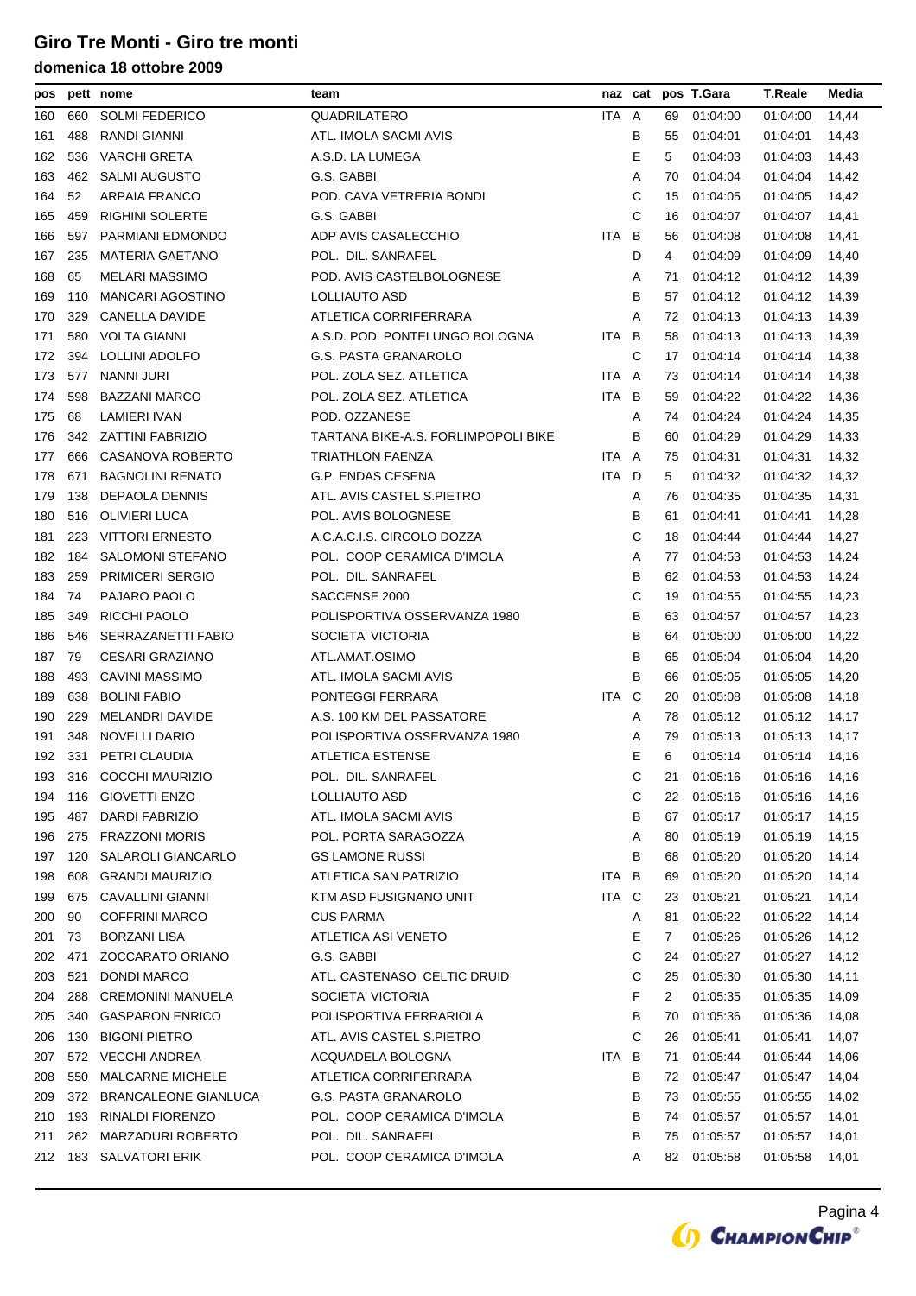| pos |     | pett nome                   | team                                |       |   |    | naz cat pos T.Gara | <b>T.Reale</b> | Media |
|-----|-----|-----------------------------|-------------------------------------|-------|---|----|--------------------|----------------|-------|
| 160 | 660 | <b>SOLMI FEDERICO</b>       | QUADRILATERO                        | ITA A |   | 69 | 01:04:00           | 01:04:00       | 14,44 |
| 161 | 488 | RANDI GIANNI                | ATL. IMOLA SACMI AVIS               |       | В | 55 | 01:04:01           | 01:04:01       | 14,43 |
| 162 | 536 | <b>VARCHI GRETA</b>         | A.S.D. LA LUMEGA                    |       | Ε | 5  | 01:04:03           | 01:04:03       | 14,43 |
| 163 | 462 | <b>SALMI AUGUSTO</b>        | G.S. GABBI                          |       | Α | 70 | 01:04:04           | 01:04:04       | 14,42 |
| 164 | 52  | <b>ARPAIA FRANCO</b>        | POD. CAVA VETRERIA BONDI            |       | С | 15 | 01:04:05           | 01:04:05       | 14,42 |
| 165 | 459 | <b>RIGHINI SOLERTE</b>      | G.S. GABBI                          |       | C | 16 | 01:04:07           | 01:04:07       | 14,41 |
| 166 | 597 | PARMIANI EDMONDO            | ADP AVIS CASALECCHIO                | ITA   | B | 56 | 01:04:08           | 01:04:08       | 14,41 |
| 167 | 235 | <b>MATERIA GAETANO</b>      | POL. DIL. SANRAFEL                  |       | D | 4  | 01:04:09           | 01:04:09       | 14,40 |
| 168 | 65  | <b>MELARI MASSIMO</b>       | POD. AVIS CASTELBOLOGNESE           |       | Α | 71 | 01:04:12           | 01:04:12       | 14,39 |
| 169 | 110 | <b>MANCARI AGOSTINO</b>     | LOLLIAUTO ASD                       |       | B | 57 | 01:04:12           | 01:04:12       | 14,39 |
| 170 | 329 | CANELLA DAVIDE              | ATLETICA CORRIFERRARA               |       | Α | 72 | 01:04:13           | 01:04:13       | 14,39 |
| 171 | 580 | <b>VOLTA GIANNI</b>         | A.S.D. POD. PONTELUNGO BOLOGNA      | ITA B |   | 58 | 01:04:13           | 01:04:13       | 14,39 |
| 172 | 394 | LOLLINI ADOLFO              | G.S. PASTA GRANAROLO                |       | С | 17 | 01:04:14           | 01:04:14       | 14,38 |
| 173 | 577 | <b>NANNI JURI</b>           | POL. ZOLA SEZ. ATLETICA             | ITA A |   | 73 | 01:04:14           | 01:04:14       | 14,38 |
| 174 | 598 | <b>BAZZANI MARCO</b>        | POL. ZOLA SEZ. ATLETICA             | ITA B |   | 59 | 01:04:22           | 01:04:22       | 14,36 |
| 175 | 68  | <b>LAMIERI IVAN</b>         | POD. OZZANESE                       |       | Α | 74 | 01:04:24           | 01:04:24       | 14,35 |
| 176 | 342 | ZATTINI FABRIZIO            | TARTANA BIKE-A.S. FORLIMPOPOLI BIKE |       | в | 60 | 01:04:29           | 01:04:29       | 14,33 |
| 177 | 666 | CASANOVA ROBERTO            | TRIATHLON FAENZA                    | ITA A |   | 75 | 01:04:31           | 01:04:31       | 14,32 |
| 178 | 671 | <b>BAGNOLINI RENATO</b>     | G.P. ENDAS CESENA                   | ITA.  | D | 5  | 01:04:32           | 01:04:32       | 14,32 |
| 179 | 138 | DEPAOLA DENNIS              | ATL. AVIS CASTEL S.PIETRO           |       | Α | 76 | 01:04:35           | 01:04:35       | 14,31 |
| 180 | 516 | <b>OLIVIERI LUCA</b>        | POL. AVIS BOLOGNESE                 |       | B | 61 | 01:04:41           | 01:04:41       | 14,28 |
| 181 | 223 | <b>VITTORI ERNESTO</b>      | A.C.A.C.I.S. CIRCOLO DOZZA          |       | С | 18 | 01:04:44           | 01:04:44       | 14,27 |
| 182 | 184 | <b>SALOMONI STEFANO</b>     | POL. COOP CERAMICA D'IMOLA          |       | Α | 77 | 01:04:53           | 01:04:53       | 14,24 |
| 183 | 259 | <b>PRIMICERI SERGIO</b>     | POL. DIL. SANRAFEL                  |       | В | 62 | 01:04:53           | 01:04:53       | 14,24 |
| 184 | 74  | PAJARO PAOLO                | SACCENSE 2000                       |       | С | 19 | 01:04:55           | 01:04:55       | 14,23 |
| 185 | 349 | RICCHI PAOLO                | POLISPORTIVA OSSERVANZA 1980        |       | В | 63 | 01:04:57           | 01:04:57       | 14,23 |
| 186 | 546 | SERRAZANETTI FABIO          | SOCIETA' VICTORIA                   |       | B | 64 | 01:05:00           | 01:05:00       | 14,22 |
| 187 | 79  | CESARI GRAZIANO             | ATL.AMAT.OSIMO                      |       | в | 65 | 01:05:04           | 01:05:04       | 14,20 |
| 188 | 493 | <b>CAVINI MASSIMO</b>       | ATL. IMOLA SACMI AVIS               |       | B | 66 | 01:05:05           | 01:05:05       | 14,20 |
| 189 | 638 | <b>BOLINI FABIO</b>         | PONTEGGI FERRARA                    | ITA   | C | 20 | 01:05:08           | 01:05:08       | 14,18 |
| 190 | 229 | MELANDRI DAVIDE             | A.S. 100 KM DEL PASSATORE           |       | Α | 78 | 01:05:12           | 01:05:12       | 14,17 |
| 191 | 348 | NOVELLI DARIO               | POLISPORTIVA OSSERVANZA 1980        |       | Α | 79 | 01:05:13           | 01:05:13       | 14,17 |
| 192 |     | 331 PETRI CLAUDIA           | ATLETICA ESTENSE                    |       | Е | 6  | 01:05:14           | 01:05:14       | 14,16 |
| 193 |     | 316 COCCHI MAURIZIO         | POL. DIL. SANRAFEL                  |       | С | 21 | 01:05:16           | 01:05:16       | 14,16 |
| 194 | 116 | <b>GIOVETTI ENZO</b>        | LOLLIAUTO ASD                       |       | С | 22 | 01:05:16           | 01:05:16       | 14,16 |
| 195 | 487 | <b>DARDI FABRIZIO</b>       | ATL. IMOLA SACMI AVIS               |       | в | 67 | 01:05:17           | 01:05:17       | 14,15 |
| 196 | 275 | <b>FRAZZONI MORIS</b>       | POL. PORTA SARAGOZZA                |       | Α | 80 | 01:05:19           | 01:05:19       | 14,15 |
| 197 | 120 | SALAROLI GIANCARLO          | <b>GS LAMONE RUSSI</b>              |       | В | 68 | 01:05:20           | 01:05:20       | 14,14 |
| 198 | 608 | <b>GRANDI MAURIZIO</b>      | ATLETICA SAN PATRIZIO               | ITA   | B | 69 | 01:05:20           | 01:05:20       | 14,14 |
| 199 | 675 | <b>CAVALLINI GIANNI</b>     | KTM ASD FUSIGNANO UNIT              | ITA C |   | 23 | 01:05:21           | 01:05:21       | 14,14 |
| 200 | 90  | <b>COFFRINI MARCO</b>       | <b>CUS PARMA</b>                    |       | Α | 81 | 01:05:22           | 01:05:22       | 14,14 |
| 201 | 73  | <b>BORZANI LISA</b>         | ATLETICA ASI VENETO                 |       | Е | 7  | 01:05:26           | 01:05:26       | 14,12 |
| 202 | 471 | ZOCCARATO ORIANO            | G.S. GABBI                          |       | С | 24 | 01:05:27           | 01:05:27       | 14,12 |
| 203 | 521 | <b>DONDI MARCO</b>          | ATL. CASTENASO CELTIC DRUID         |       | С | 25 | 01:05:30           | 01:05:30       | 14,11 |
| 204 | 288 | <b>CREMONINI MANUELA</b>    | SOCIETA' VICTORIA                   |       | F | 2  | 01:05:35           | 01:05:35       | 14,09 |
| 205 | 340 | <b>GASPARON ENRICO</b>      | POLISPORTIVA FERRARIOLA             |       | В | 70 | 01:05:36           | 01:05:36       | 14,08 |
| 206 | 130 | <b>BIGONI PIETRO</b>        | ATL. AVIS CASTEL S.PIETRO           |       | С | 26 | 01:05:41           | 01:05:41       | 14,07 |
| 207 | 572 | <b>VECCHI ANDREA</b>        | ACQUADELA BOLOGNA                   | ITA B |   | 71 | 01:05:44           | 01:05:44       | 14,06 |
| 208 | 550 | <b>MALCARNE MICHELE</b>     | ATLETICA CORRIFERRARA               |       | в | 72 | 01:05:47           | 01:05:47       | 14,04 |
| 209 | 372 | <b>BRANCALEONE GIANLUCA</b> | G.S. PASTA GRANAROLO                |       | В | 73 | 01:05:55           | 01:05:55       | 14,02 |
| 210 | 193 | RINALDI FIORENZO            | POL. COOP CERAMICA D'IMOLA          |       | В | 74 | 01:05:57           | 01:05:57       | 14,01 |
| 211 | 262 | MARZADURI ROBERTO           | POL. DIL. SANRAFEL                  |       | в | 75 | 01:05:57           | 01:05:57       | 14,01 |
| 212 |     | 183 SALVATORI ERIK          | POL. COOP CERAMICA D'IMOLA          |       | Α | 82 | 01:05:58           | 01:05:58       | 14,01 |

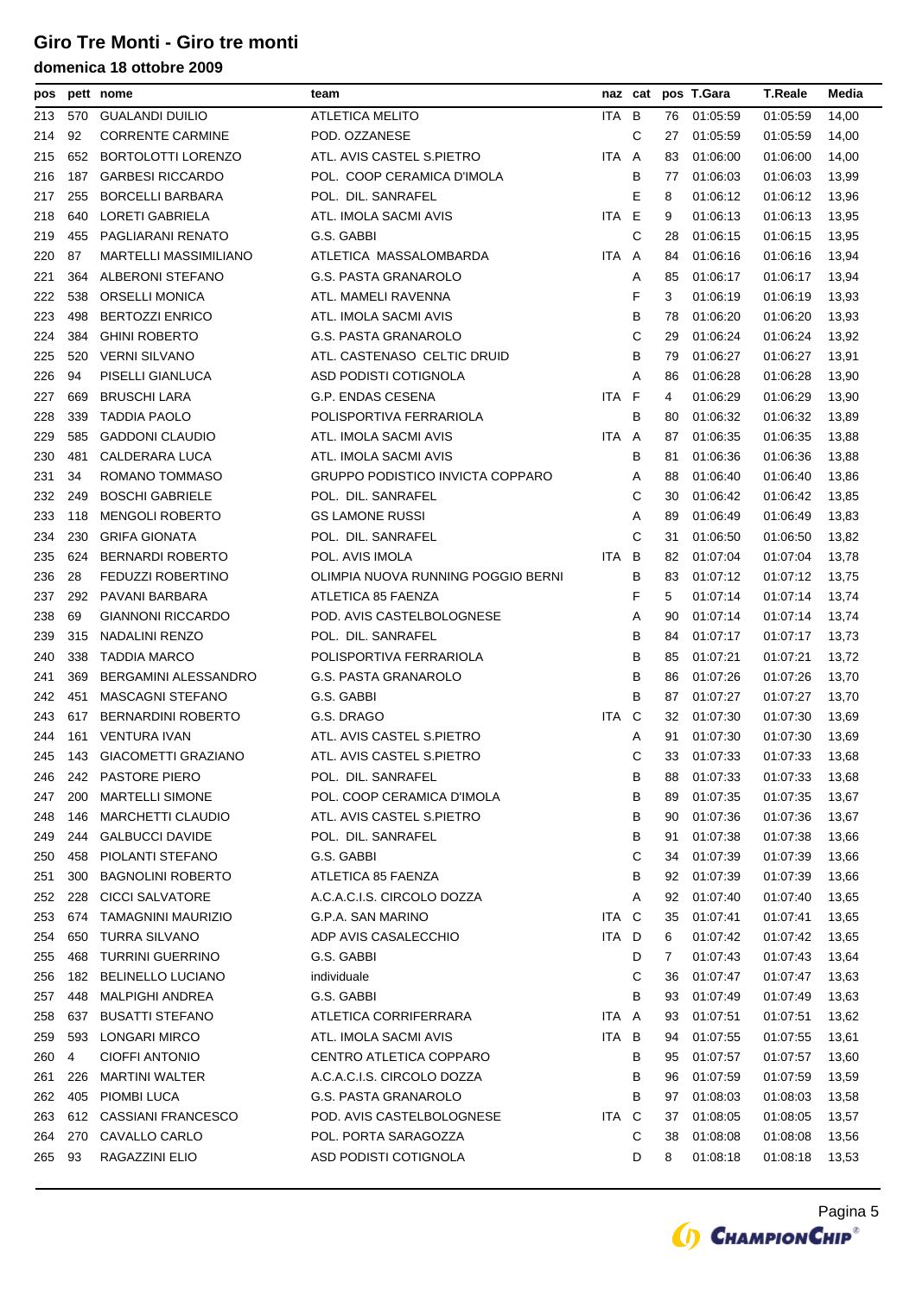| pos |     | pett nome                    | team                                    |       | naz cat |    | pos T.Gara  | <b>T.Reale</b> | Media |
|-----|-----|------------------------------|-----------------------------------------|-------|---------|----|-------------|----------------|-------|
| 213 | 570 | <b>GUALANDI DUILIO</b>       | <b>ATLETICA MELITO</b>                  | ITA B |         | 76 | 01:05:59    | 01:05:59       | 14,00 |
| 214 | 92  | <b>CORRENTE CARMINE</b>      | POD. OZZANESE                           |       | С       | 27 | 01:05:59    | 01:05:59       | 14,00 |
| 215 | 652 | <b>BORTOLOTTI LORENZO</b>    | ATL. AVIS CASTEL S.PIETRO               | ITA A |         | 83 | 01:06:00    | 01:06:00       | 14,00 |
| 216 | 187 | <b>GARBESI RICCARDO</b>      | POL. COOP CERAMICA D'IMOLA              |       | в       | 77 | 01:06:03    | 01:06:03       | 13,99 |
| 217 | 255 | <b>BORCELLI BARBARA</b>      | POL. DIL. SANRAFEL                      |       | Е       | 8  | 01:06:12    | 01:06:12       | 13,96 |
| 218 | 640 | LORETI GABRIELA              | ATL. IMOLA SACMI AVIS                   | ITA.  | E       | 9  | 01:06:13    | 01:06:13       | 13,95 |
| 219 | 455 | PAGLIARANI RENATO            | G.S. GABBI                              |       | С       | 28 | 01:06:15    | 01:06:15       | 13,95 |
| 220 | 87  | <b>MARTELLI MASSIMILIANO</b> | ATLETICA MASSALOMBARDA                  | ITA A |         | 84 | 01:06:16    | 01:06:16       | 13,94 |
| 221 | 364 | ALBERONI STEFANO             | <b>G.S. PASTA GRANAROLO</b>             |       | Α       | 85 | 01:06:17    | 01:06:17       | 13,94 |
| 222 | 538 | <b>ORSELLI MONICA</b>        | ATL. MAMELI RAVENNA                     |       | F       | 3  | 01:06:19    | 01:06:19       | 13,93 |
| 223 | 498 | <b>BERTOZZI ENRICO</b>       | ATL. IMOLA SACMI AVIS                   |       | В       | 78 | 01:06:20    | 01:06:20       | 13,93 |
| 224 | 384 | <b>GHINI ROBERTO</b>         | G.S. PASTA GRANAROLO                    |       | С       | 29 | 01:06:24    | 01:06:24       | 13,92 |
| 225 | 520 | <b>VERNI SILVANO</b>         | ATL. CASTENASO CELTIC DRUID             |       | В       | 79 | 01:06:27    | 01:06:27       | 13,91 |
| 226 | 94  | PISELLI GIANLUCA             | ASD PODISTI COTIGNOLA                   |       | Α       | 86 | 01:06:28    | 01:06:28       | 13,90 |
| 227 | 669 | <b>BRUSCHI LARA</b>          | <b>G.P. ENDAS CESENA</b>                | ITA F |         | 4  | 01:06:29    | 01:06:29       | 13,90 |
| 228 | 339 | <b>TADDIA PAOLO</b>          | POLISPORTIVA FERRARIOLA                 |       | B       | 80 | 01:06:32    | 01:06:32       | 13,89 |
| 229 | 585 | <b>GADDONI CLAUDIO</b>       | ATL. IMOLA SACMI AVIS                   | ITA A |         | 87 | 01:06:35    | 01:06:35       | 13,88 |
| 230 | 481 | CALDERARA LUCA               | ATL. IMOLA SACMI AVIS                   |       | в       | 81 | 01:06:36    | 01:06:36       | 13,88 |
| 231 | 34  | ROMANO TOMMASO               | <b>GRUPPO PODISTICO INVICTA COPPARO</b> |       | Α       | 88 | 01:06:40    | 01:06:40       | 13,86 |
| 232 | 249 | <b>BOSCHI GABRIELE</b>       | POL. DIL. SANRAFEL                      |       | С       | 30 | 01:06:42    | 01:06:42       | 13,85 |
| 233 | 118 | <b>MENGOLI ROBERTO</b>       | <b>GS LAMONE RUSSI</b>                  |       | Α       | 89 | 01:06:49    | 01:06:49       | 13,83 |
| 234 | 230 | <b>GRIFA GIONATA</b>         | POL. DIL. SANRAFEL                      |       | С       | 31 | 01:06:50    | 01:06:50       | 13,82 |
| 235 | 624 | <b>BERNARDI ROBERTO</b>      | POL. AVIS IMOLA                         | ITA B |         | 82 | 01:07:04    | 01:07:04       | 13,78 |
| 236 | 28  | FEDUZZI ROBERTINO            | OLIMPIA NUOVA RUNNING POGGIO BERNI      |       | в       | 83 | 01:07:12    | 01:07:12       | 13,75 |
| 237 | 292 | PAVANI BARBARA               | ATLETICA 85 FAENZA                      |       | F       | 5  | 01:07:14    | 01:07:14       | 13,74 |
| 238 | 69  | <b>GIANNONI RICCARDO</b>     | POD. AVIS CASTELBOLOGNESE               |       | Α       | 90 | 01:07:14    | 01:07:14       | 13,74 |
| 239 | 315 | NADALINI RENZO               | POL. DIL. SANRAFEL                      |       | В       | 84 | 01:07:17    | 01:07:17       | 13,73 |
| 240 | 338 | <b>TADDIA MARCO</b>          | POLISPORTIVA FERRARIOLA                 |       | В       | 85 | 01:07:21    | 01:07:21       | 13,72 |
| 241 | 369 | BERGAMINI ALESSANDRO         | G.S. PASTA GRANAROLO                    |       | B       | 86 | 01:07:26    | 01:07:26       | 13,70 |
| 242 | 451 | <b>MASCAGNI STEFANO</b>      | G.S. GABBI                              |       | В       | 87 | 01:07:27    | 01:07:27       | 13,70 |
| 243 | 617 | <b>BERNARDINI ROBERTO</b>    | G.S. DRAGO                              | ITA C |         | 32 | 01:07:30    | 01:07:30       | 13,69 |
| 244 | 161 | <b>VENTURA IVAN</b>          | ATL. AVIS CASTEL S.PIETRO               |       | Α       | 91 | 01:07:30    | 01:07:30       | 13,69 |
| 245 |     | 143 GIACOMETTI GRAZIANO      | ATL. AVIS CASTEL S.PIETRO               |       | С       | 33 | 01:07:33    | 01:07:33       | 13,68 |
| 246 |     | 242 PASTORE PIERO            | POL. DIL. SANRAFEL                      |       | В       |    | 88 01:07:33 | 01:07:33       | 13,68 |
| 247 | 200 | <b>MARTELLI SIMONE</b>       | POL. COOP CERAMICA D'IMOLA              |       | В       | 89 | 01:07:35    | 01:07:35       | 13,67 |
| 248 | 146 | <b>MARCHETTI CLAUDIO</b>     | ATL. AVIS CASTEL S.PIETRO               |       | В       | 90 | 01:07:36    | 01:07:36       | 13,67 |
| 249 | 244 | <b>GALBUCCI DAVIDE</b>       | POL. DIL. SANRAFEL                      |       | В       | 91 | 01:07:38    | 01:07:38       | 13,66 |
| 250 | 458 | PIOLANTI STEFANO             | G.S. GABBI                              |       | С       | 34 | 01:07:39    | 01:07:39       | 13,66 |
| 251 | 300 | <b>BAGNOLINI ROBERTO</b>     | ATLETICA 85 FAENZA                      |       | В       | 92 | 01:07:39    | 01:07:39       | 13,66 |
| 252 | 228 | <b>CICCI SALVATORE</b>       | A.C.A.C.I.S. CIRCOLO DOZZA              |       | Α       | 92 | 01:07:40    | 01:07:40       | 13,65 |
| 253 | 674 | <b>TAMAGNINI MAURIZIO</b>    | G.P.A. SAN MARINO                       | ITA C |         | 35 | 01:07:41    | 01:07:41       | 13,65 |
| 254 | 650 | <b>TURRA SILVANO</b>         | ADP AVIS CASALECCHIO                    | ITA D |         | 6  | 01:07:42    | 01:07:42       | 13,65 |
| 255 | 468 | <b>TURRINI GUERRINO</b>      | G.S. GABBI                              |       | D       | 7  | 01:07:43    | 01:07:43       | 13,64 |
| 256 | 182 | <b>BELINELLO LUCIANO</b>     | individuale                             |       | С       | 36 | 01:07:47    | 01:07:47       | 13,63 |
| 257 | 448 | <b>MALPIGHI ANDREA</b>       | G.S. GABBI                              |       | В       | 93 | 01:07:49    | 01:07:49       | 13,63 |
| 258 | 637 | <b>BUSATTI STEFANO</b>       | ATLETICA CORRIFERRARA                   | ITA A |         | 93 | 01:07:51    | 01:07:51       | 13,62 |
| 259 | 593 | LONGARI MIRCO                | ATL. IMOLA SACMI AVIS                   | ITA B |         | 94 | 01:07:55    | 01:07:55       | 13,61 |
| 260 | 4   | <b>CIOFFI ANTONIO</b>        | CENTRO ATLETICA COPPARO                 |       | В       | 95 | 01:07:57    | 01:07:57       | 13,60 |
|     |     |                              |                                         |       |         |    |             |                |       |
| 261 | 226 | <b>MARTINI WALTER</b>        | A.C.A.C.I.S. CIRCOLO DOZZA              |       | В       | 96 | 01:07:59    | 01:07:59       | 13,59 |
| 262 | 405 | PIOMBI LUCA                  | G.S. PASTA GRANAROLO                    |       | В       | 97 | 01:08:03    | 01:08:03       | 13,58 |
| 263 | 612 | CASSIANI FRANCESCO           | POD. AVIS CASTELBOLOGNESE               | ITA   | C       | 37 | 01:08:05    | 01:08:05       | 13,57 |
| 264 | 270 | CAVALLO CARLO                | POL. PORTA SARAGOZZA                    |       | С       | 38 | 01:08:08    | 01:08:08       | 13,56 |
| 265 | 93  | RAGAZZINI ELIO               | ASD PODISTI COTIGNOLA                   |       | D       | 8  | 01:08:18    | 01:08:18       | 13,53 |

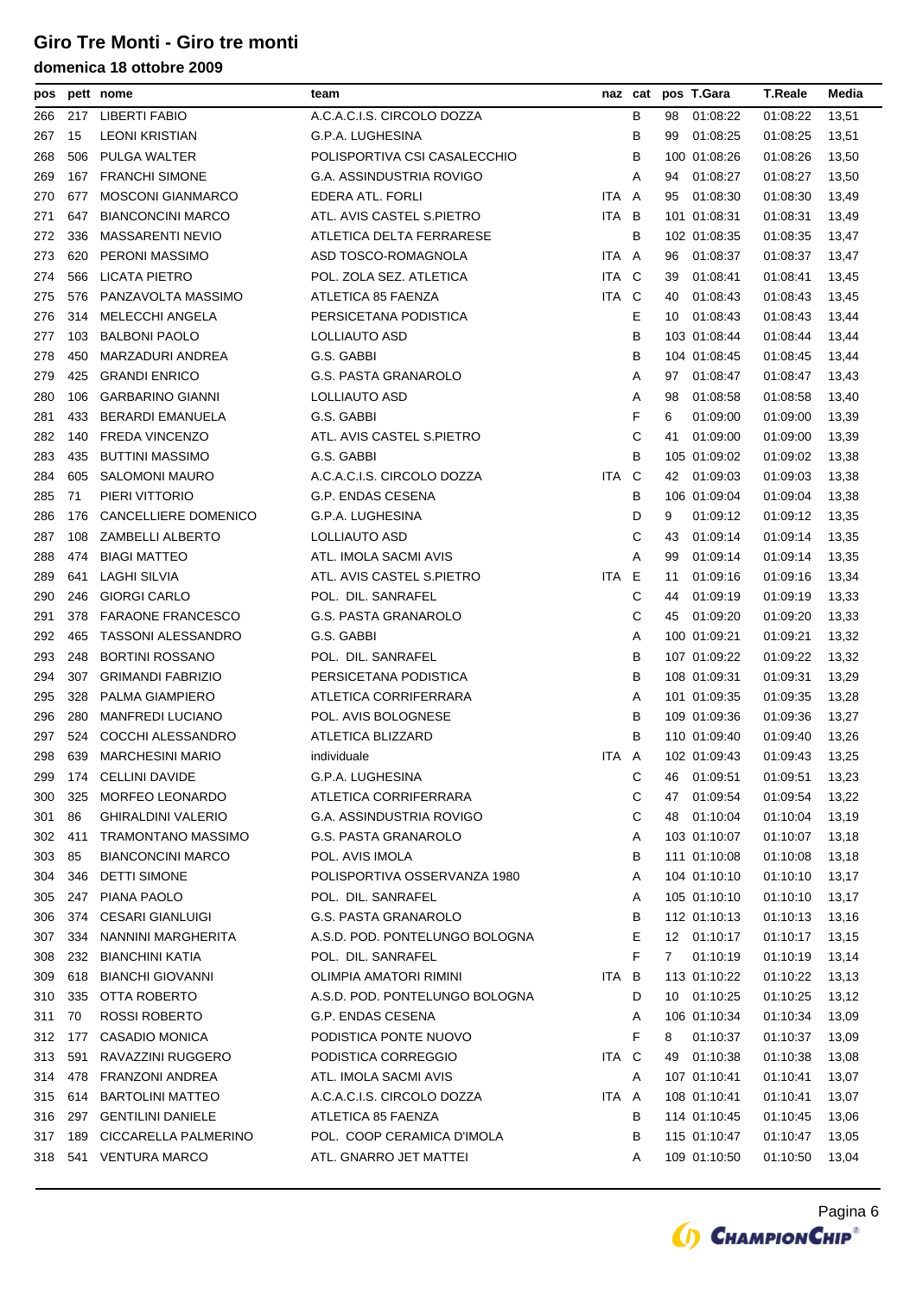| pos |     | pett nome                 | team                            |            | naz cat |              | pos T.Gara   | T.Reale  | Media |
|-----|-----|---------------------------|---------------------------------|------------|---------|--------------|--------------|----------|-------|
| 266 | 217 | <b>LIBERTI FABIO</b>      | A.C.A.C.I.S. CIRCOLO DOZZA      |            | в       | 98           | 01:08:22     | 01:08:22 | 13,51 |
| 267 | 15  | <b>LEONI KRISTIAN</b>     | G.P.A. LUGHESINA                |            | В       | 99           | 01:08:25     | 01:08:25 | 13,51 |
| 268 | 506 | PULGA WALTER              | POLISPORTIVA CSI CASALECCHIO    |            | В       |              | 100 01:08:26 | 01:08:26 | 13,50 |
| 269 | 167 | <b>FRANCHI SIMONE</b>     | G.A. ASSINDUSTRIA ROVIGO        |            | Α       | 94           | 01:08:27     | 01:08:27 | 13,50 |
| 270 | 677 | <b>MOSCONI GIANMARCO</b>  | EDERA ATL. FORLI                | ITA.       | A       | 95           | 01:08:30     | 01:08:30 | 13,49 |
| 271 | 647 | <b>BIANCONCINI MARCO</b>  | ATL. AVIS CASTEL S.PIETRO       | ITA        | B       |              | 101 01:08:31 | 01:08:31 | 13,49 |
| 272 | 336 | <b>MASSARENTI NEVIO</b>   | ATLETICA DELTA FERRARESE        |            | В       |              | 102 01:08:35 | 01:08:35 | 13,47 |
| 273 | 620 | <b>PERONI MASSIMO</b>     | ASD TOSCO-ROMAGNOLA             | ITA.       | A       | 96           | 01:08:37     | 01:08:37 | 13,47 |
| 274 | 566 | LICATA PIETRO             | POL. ZOLA SEZ. ATLETICA         | ITA        | C       | 39           | 01:08:41     | 01:08:41 | 13,45 |
| 275 | 576 | PANZAVOLTA MASSIMO        | ATLETICA 85 FAENZA              | ITA        | - C     | 40           | 01:08:43     | 01:08:43 | 13,45 |
| 276 | 314 | MELECCHI ANGELA           | PERSICETANA PODISTICA           |            | Е       | 10           | 01:08:43     | 01:08:43 | 13,44 |
| 277 | 103 | <b>BALBONI PAOLO</b>      | LOLLIAUTO ASD                   |            | В       |              | 103 01:08:44 | 01:08:44 | 13,44 |
| 278 | 450 | MARZADURI ANDREA          | G.S. GABBI                      |            | В       |              | 104 01:08:45 | 01:08:45 | 13,44 |
| 279 | 425 | <b>GRANDI ENRICO</b>      | G.S. PASTA GRANAROLO            |            | Α       | 97           | 01:08:47     | 01:08:47 | 13,43 |
| 280 | 106 | <b>GARBARINO GIANNI</b>   | LOLLIAUTO ASD                   |            | Α       | 98           | 01:08:58     | 01:08:58 | 13,40 |
| 281 | 433 | <b>BERARDI EMANUELA</b>   | G.S. GABBI                      |            | F       | 6            | 01:09:00     | 01:09:00 | 13,39 |
| 282 | 140 | <b>FREDA VINCENZO</b>     | ATL. AVIS CASTEL S.PIETRO       |            | С       | 41           | 01:09:00     | 01:09:00 | 13,39 |
| 283 | 435 | <b>BUTTINI MASSIMO</b>    | G.S. GABBI                      |            | В       |              | 105 01:09:02 | 01:09:02 | 13,38 |
| 284 | 605 | <b>SALOMONI MAURO</b>     | A.C.A.C.I.S. CIRCOLO DOZZA      | ITA.       | C       | 42           | 01:09:03     | 01:09:03 | 13,38 |
| 285 | 71  | PIERI VITTORIO            | G.P. ENDAS CESENA               |            | В       |              | 106 01:09:04 | 01:09:04 | 13,38 |
| 286 | 176 | CANCELLIERE DOMENICO      | <b>G.P.A. LUGHESINA</b>         |            | D       | 9            | 01:09:12     | 01:09:12 | 13,35 |
| 287 | 108 | <b>ZAMBELLI ALBERTO</b>   | LOLLIAUTO ASD                   |            | С       | 43           | 01:09:14     | 01:09:14 | 13,35 |
| 288 | 474 | <b>BIAGI MATTEO</b>       | ATL. IMOLA SACMI AVIS           |            | Α       | 99           | 01:09:14     | 01:09:14 | 13,35 |
| 289 | 641 | LAGHI SILVIA              | ATL. AVIS CASTEL S.PIETRO       | <b>ITA</b> | Е       | 11           | 01:09:16     | 01:09:16 | 13,34 |
| 290 | 246 | <b>GIORGI CARLO</b>       | POL. DIL. SANRAFEL              |            | С       | 44           | 01:09:19     | 01:09:19 | 13,33 |
| 291 | 378 | <b>FARAONE FRANCESCO</b>  | <b>G.S. PASTA GRANAROLO</b>     |            | С       | 45           | 01:09:20     | 01:09:20 | 13,33 |
| 292 | 465 | <b>TASSONI ALESSANDRO</b> | G.S. GABBI                      |            | Α       |              | 100 01:09:21 | 01:09:21 | 13,32 |
| 293 | 248 | <b>BORTINI ROSSANO</b>    | POL. DIL. SANRAFEL              |            | В       |              | 107 01:09:22 | 01:09:22 | 13,32 |
| 294 | 307 | <b>GRIMANDI FABRIZIO</b>  | PERSICETANA PODISTICA           |            | в       |              | 108 01:09:31 | 01:09:31 | 13,29 |
| 295 | 328 | PALMA GIAMPIERO           | ATLETICA CORRIFERRARA           |            | Α       |              | 101 01:09:35 | 01:09:35 | 13,28 |
| 296 | 280 | <b>MANFREDI LUCIANO</b>   | POL. AVIS BOLOGNESE             |            | В       |              | 109 01:09:36 | 01:09:36 | 13,27 |
| 297 | 524 | COCCHI ALESSANDRO         | ATLETICA BLIZZARD               |            | в       |              | 110 01:09:40 | 01:09:40 | 13,26 |
| 298 | 639 | <b>MARCHESINI MARIO</b>   | individuale                     | ITA A      |         |              | 102 01:09:43 | 01:09:43 | 13,25 |
| 299 | 174 | <b>CELLINI DAVIDE</b>     | G.P.A. LUGHESINA                |            | С       | 46           | 01:09:51     | 01:09:51 | 13,23 |
| 300 | 325 | <b>MORFEO LEONARDO</b>    | ATLETICA CORRIFERRARA           |            | С       | 47           | 01:09:54     | 01:09:54 | 13,22 |
| 301 | 86  | <b>GHIRALDINI VALERIO</b> | <b>G.A. ASSINDUSTRIA ROVIGO</b> |            | С       | 48           | 01:10:04     | 01:10:04 | 13,19 |
| 302 | 411 | <b>TRAMONTANO MASSIMO</b> | <b>G.S. PASTA GRANAROLO</b>     |            | Α       |              | 103 01:10:07 | 01:10:07 | 13,18 |
| 303 | 85  | <b>BIANCONCINI MARCO</b>  | POL. AVIS IMOLA                 |            | в       |              | 111 01:10:08 | 01:10:08 | 13,18 |
| 304 | 346 | <b>DETTI SIMONE</b>       | POLISPORTIVA OSSERVANZA 1980    |            | Α       |              | 104 01:10:10 | 01:10:10 | 13,17 |
| 305 | 247 | PIANA PAOLO               | POL. DIL. SANRAFEL              |            | A       |              | 105 01:10:10 | 01:10:10 | 13,17 |
| 306 | 374 | <b>CESARI GIANLUIGI</b>   | G.S. PASTA GRANAROLO            |            | в       |              | 112 01:10:13 | 01:10:13 | 13,16 |
| 307 | 334 | NANNINI MARGHERITA        | A.S.D. POD. PONTELUNGO BOLOGNA  |            | Е       |              | 12 01:10:17  | 01:10:17 | 13,15 |
| 308 | 232 | <b>BIANCHINI KATIA</b>    | POL. DIL. SANRAFEL              |            | F       | $\mathbf{7}$ | 01:10:19     | 01:10:19 | 13,14 |
| 309 | 618 | <b>BIANCHI GIOVANNI</b>   | OLIMPIA AMATORI RIMINI          | ITA.       | B       |              | 113 01:10:22 | 01:10:22 | 13,13 |
| 310 | 335 | OTTA ROBERTO              | A.S.D. POD. PONTELUNGO BOLOGNA  |            | D       | 10           | 01:10:25     | 01:10:25 | 13,12 |
| 311 | 70  | <b>ROSSI ROBERTO</b>      | G.P. ENDAS CESENA               |            | Α       |              | 106 01:10:34 | 01:10:34 | 13,09 |
| 312 | 177 | CASADIO MONICA            | PODISTICA PONTE NUOVO           |            | F       | 8            | 01:10:37     | 01:10:37 | 13,09 |
| 313 | 591 | RAVAZZINI RUGGERO         | PODISTICA CORREGGIO             | ITA        | C       | 49           | 01:10:38     | 01:10:38 | 13,08 |
| 314 | 478 | <b>FRANZONI ANDREA</b>    | ATL. IMOLA SACMI AVIS           |            | Α       |              | 107 01:10:41 | 01:10:41 | 13,07 |
| 315 | 614 | <b>BARTOLINI MATTEO</b>   | A.C.A.C.I.S. CIRCOLO DOZZA      | ITA A      |         |              | 108 01:10:41 | 01:10:41 | 13,07 |
| 316 | 297 | <b>GENTILINI DANIELE</b>  | ATLETICA 85 FAENZA              |            | в       |              | 114 01:10:45 | 01:10:45 | 13,06 |
| 317 | 189 | CICCARELLA PALMERINO      | POL. COOP CERAMICA D'IMOLA      |            | в       |              | 115 01:10:47 | 01:10:47 | 13,05 |
| 318 | 541 | <b>VENTURA MARCO</b>      | ATL. GNARRO JET MATTEI          |            | A       |              | 109 01:10:50 | 01:10:50 | 13,04 |

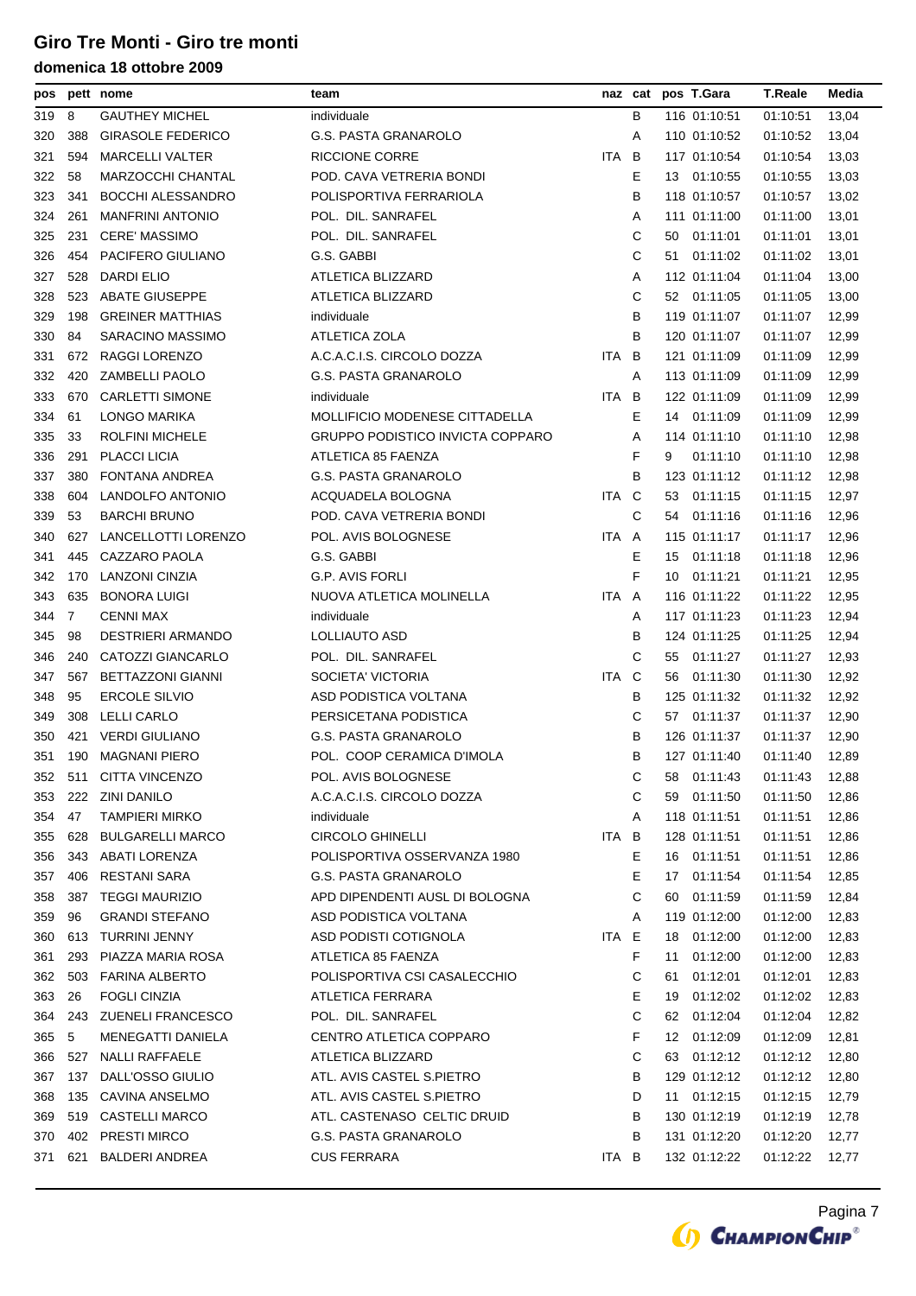| pos |     | pett nome                | team                                  |       |     | naz cat pos T.Gara | <b>T.Reale</b> | Media |
|-----|-----|--------------------------|---------------------------------------|-------|-----|--------------------|----------------|-------|
| 319 | 8   | <b>GAUTHEY MICHEL</b>    | individuale                           |       | в   | 116 01:10:51       | 01:10:51       | 13,04 |
| 320 | 388 | <b>GIRASOLE FEDERICO</b> | G.S. PASTA GRANAROLO                  |       | Α   | 110 01:10:52       | 01:10:52       | 13,04 |
| 321 | 594 | <b>MARCELLI VALTER</b>   | RICCIONE CORRE                        | ITA   | B   | 117 01:10:54       | 01:10:54       | 13,03 |
| 322 | 58  | MARZOCCHI CHANTAL        | POD. CAVA VETRERIA BONDI              |       | Е   | 01:10:55<br>13     | 01:10:55       | 13,03 |
| 323 | 341 | <b>BOCCHI ALESSANDRO</b> | POLISPORTIVA FERRARIOLA               |       | В   | 118 01:10:57       | 01:10:57       | 13,02 |
| 324 | 261 | <b>MANFRINI ANTONIO</b>  | POL. DIL. SANRAFEL                    |       | Α   | 111 01:11:00       | 01:11:00       | 13,01 |
| 325 | 231 | <b>CERE' MASSIMO</b>     | POL. DIL. SANRAFEL                    |       | С   | 01:11:01<br>50     | 01:11:01       | 13,01 |
| 326 | 454 | PACIFERO GIULIANO        | G.S. GABBI                            |       | С   | 01:11:02<br>51     | 01:11:02       | 13,01 |
| 327 | 528 | DARDI ELIO               | ATLETICA BLIZZARD                     |       | Α   | 112 01:11:04       | 01:11:04       | 13,00 |
| 328 | 523 | <b>ABATE GIUSEPPE</b>    | ATLETICA BLIZZARD                     |       | С   | 52 01:11:05        | 01:11:05       | 13,00 |
| 329 | 198 | <b>GREINER MATTHIAS</b>  | individuale                           |       | в   | 119 01:11:07       | 01:11:07       | 12,99 |
| 330 | 84  | SARACINO MASSIMO         | ATLETICA ZOLA                         |       | в   | 120 01:11:07       | 01:11:07       | 12,99 |
| 331 | 672 | RAGGI LORENZO            | A.C.A.C.I.S. CIRCOLO DOZZA            | ITA B |     | 121 01:11:09       | 01:11:09       | 12,99 |
| 332 | 420 | <b>ZAMBELLI PAOLO</b>    | G.S. PASTA GRANAROLO                  |       | Α   | 113 01:11:09       | 01:11:09       | 12,99 |
| 333 | 670 | <b>CARLETTI SIMONE</b>   | individuale                           | ITA   | B   | 122 01:11:09       | 01:11:09       | 12,99 |
| 334 | 61  | LONGO MARIKA             | <b>MOLLIFICIO MODENESE CITTADELLA</b> |       | Е   | 01:11:09<br>14     | 01:11:09       | 12,99 |
| 335 | 33  | <b>ROLFINI MICHELE</b>   | GRUPPO PODISTICO INVICTA COPPARO      |       | Α   | 114 01:11:10       | 01:11:10       | 12,98 |
| 336 | 291 | <b>PLACCI LICIA</b>      | ATLETICA 85 FAENZA                    |       | F   | 01:11:10<br>9      | 01:11:10       | 12,98 |
| 337 | 380 | <b>FONTANA ANDREA</b>    | <b>G.S. PASTA GRANAROLO</b>           |       | в   | 123 01:11:12       | 01:11:12       | 12,98 |
| 338 | 604 | LANDOLFO ANTONIO         | ACQUADELA BOLOGNA                     | ITA C |     | 01:11:15<br>53     | 01:11:15       | 12,97 |
| 339 | 53  | <b>BARCHI BRUNO</b>      | POD. CAVA VETRERIA BONDI              |       | С   | 54 01:11:16        | 01:11:16       | 12,96 |
| 340 | 627 | LANCELLOTTI LORENZO      | POL. AVIS BOLOGNESE                   | ITA A |     | 115 01:11:17       | 01:11:17       | 12,96 |
| 341 | 445 | CAZZARO PAOLA            | G.S. GABBI                            |       | Е   | 01:11:18<br>15     | 01:11:18       | 12,96 |
| 342 | 170 | LANZONI CINZIA           | G.P. AVIS FORLI                       |       | F   | 10 01:11:21        | 01:11:21       | 12,95 |
| 343 | 635 | <b>BONORA LUIGI</b>      | NUOVA ATLETICA MOLINELLA              | ITA A |     | 116 01:11:22       | 01:11:22       | 12,95 |
| 344 | 7   | <b>CENNI MAX</b>         | individuale                           |       | Α   | 117 01:11:23       | 01:11:23       | 12,94 |
| 345 | 98  | DESTRIERI ARMANDO        | LOLLIAUTO ASD                         |       | В   | 124 01:11:25       | 01:11:25       | 12,94 |
| 346 | 240 | CATOZZI GIANCARLO        | POL. DIL. SANRAFEL                    |       | С   | 01:11:27<br>55     | 01:11:27       | 12,93 |
| 347 | 567 | <b>BETTAZZONI GIANNI</b> | SOCIETA' VICTORIA                     | ITA   | - C | 01:11:30<br>56     | 01:11:30       | 12,92 |
| 348 | 95  | <b>ERCOLE SILVIO</b>     | ASD PODISTICA VOLTANA                 |       | в   | 125 01:11:32       | 01:11:32       | 12,92 |
| 349 | 308 | <b>LELLI CARLO</b>       | PERSICETANA PODISTICA                 |       | С   | 57 01:11:37        | 01:11:37       | 12,90 |
| 350 | 421 | <b>VERDI GIULIANO</b>    | <b>G.S. PASTA GRANAROLO</b>           |       | B   | 126 01:11:37       | 01:11:37       | 12,90 |
| 351 | 190 | MAGNANI PIERO            | POL. COOP CERAMICA D'IMOLA            |       | в   | 127 01:11:40       | 01:11:40       | 12,89 |
| 352 | 511 | CITTA VINCENZO           | POL. AVIS BOLOGNESE                   |       | С   | 58<br>01:11:43     | 01:11:43       | 12,88 |
| 353 | 222 | ZINI DANILO              | A.C.A.C.I.S. CIRCOLO DOZZA            |       | С   | 01:11:50<br>59     | 01:11:50       | 12,86 |
| 354 | 47  | <b>TAMPIERI MIRKO</b>    | individuale                           |       | Α   | 118 01:11:51       | 01:11:51       | 12,86 |
| 355 | 628 | <b>BULGARELLI MARCO</b>  | <b>CIRCOLO GHINELLI</b>               | ITA B |     | 128 01:11:51       | 01:11:51       | 12,86 |
| 356 | 343 | ABATI LORENZA            | POLISPORTIVA OSSERVANZA 1980          |       | Ε   | 16 01:11:51        | 01:11:51       | 12,86 |
| 357 | 406 | <b>RESTANI SARA</b>      | G.S. PASTA GRANAROLO                  |       | Е   | 01:11:54<br>17     | 01:11:54       | 12,85 |
| 358 | 387 | <b>TEGGI MAURIZIO</b>    | APD DIPENDENTI AUSL DI BOLOGNA        |       | С   | 01:11:59<br>60     | 01:11:59       | 12,84 |
| 359 | 96  | <b>GRANDI STEFANO</b>    | ASD PODISTICA VOLTANA                 |       | Α   | 119 01:12:00       | 01:12:00       | 12,83 |
| 360 |     | 613 TURRINI JENNY        | ASD PODISTI COTIGNOLA                 | ITA E |     | 18 01:12:00        | 01:12:00       | 12,83 |
| 361 | 293 | PIAZZA MARIA ROSA        | ATLETICA 85 FAENZA                    |       | F   | 01:12:00<br>11     | 01:12:00       | 12,83 |
| 362 | 503 | FARINA ALBERTO           | POLISPORTIVA CSI CASALECCHIO          |       | С   | 01:12:01<br>61     | 01:12:01       | 12,83 |
| 363 | 26  | <b>FOGLI CINZIA</b>      | ATLETICA FERRARA                      |       | Ε   | 01:12:02<br>19     | 01:12:02       | 12,83 |
| 364 |     | 243 ZUENELI FRANCESCO    | POL. DIL. SANRAFEL                    |       | С   | 01:12:04<br>62     | 01:12:04       | 12,82 |
| 365 | 5   | MENEGATTI DANIELA        | CENTRO ATLETICA COPPARO               |       | F   | 01:12:09<br>12     | 01:12:09       | 12,81 |
| 366 | 527 | NALLI RAFFAELE           | ATLETICA BLIZZARD                     |       | С   | 01:12:12<br>63     | 01:12:12       | 12,80 |
| 367 | 137 | DALL'OSSO GIULIO         | ATL. AVIS CASTEL S.PIETRO             |       | В   | 129 01:12:12       | 01:12:12       | 12,80 |
| 368 | 135 | CAVINA ANSELMO           | ATL. AVIS CASTEL S.PIETRO             |       | D   | 01:12:15<br>11     | 01:12:15       | 12,79 |
| 369 |     | 519 CASTELLI MARCO       | ATL. CASTENASO CELTIC DRUID           |       | в   | 130 01:12:19       | 01:12:19       | 12,78 |
| 370 |     | 402 PRESTI MIRCO         | G.S. PASTA GRANAROLO                  |       | в   | 131 01:12:20       | 01:12:20       | 12,77 |
| 371 |     | 621 BALDERI ANDREA       | <b>CUS FERRARA</b>                    | ITA B |     | 132 01:12:22       | 01:12:22       | 12,77 |
|     |     |                          |                                       |       |     |                    |                |       |

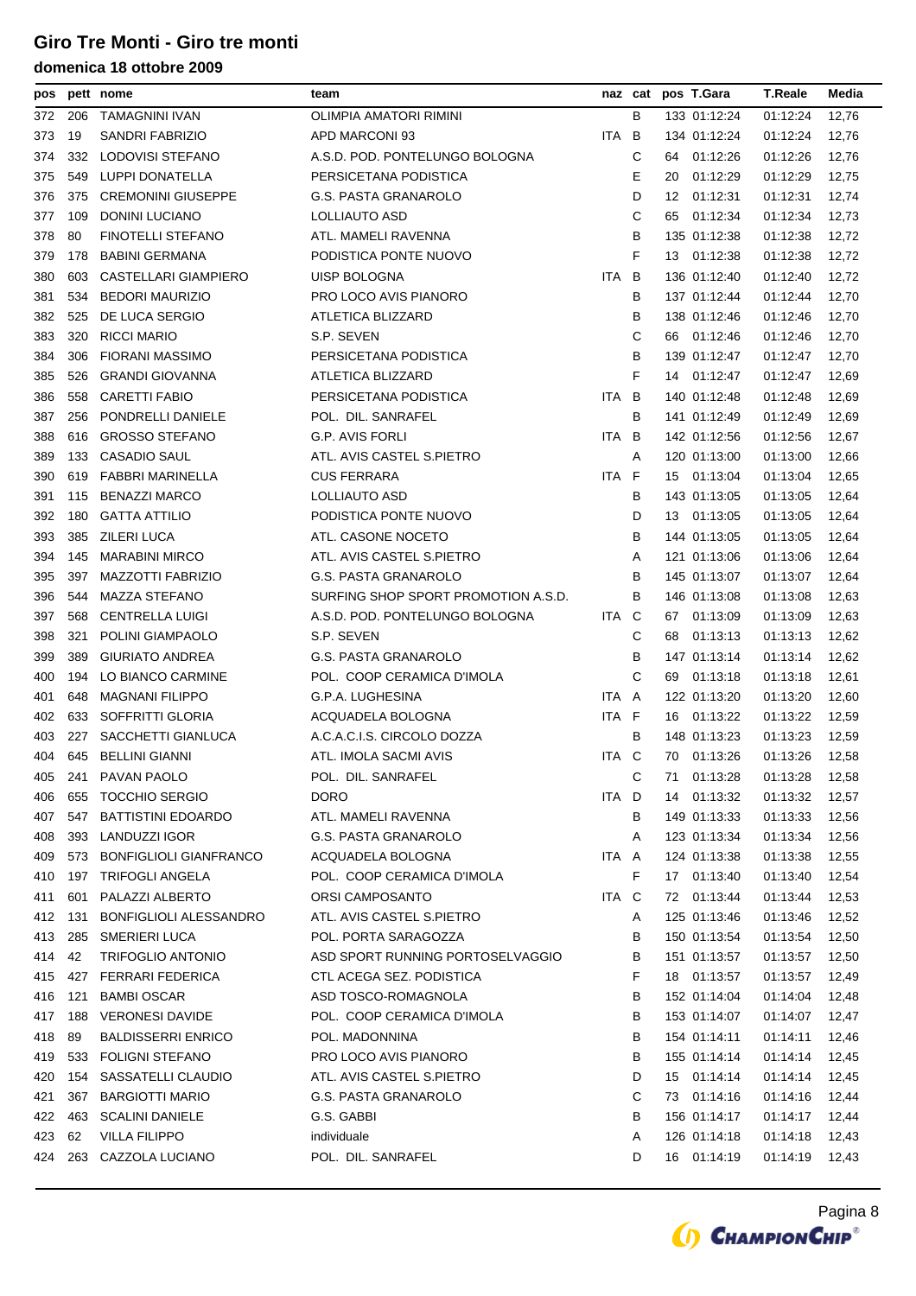| pos |     | pett nome                     | team                                |       |   |    | naz cat pos T.Gara | <b>T.Reale</b> | Media |
|-----|-----|-------------------------------|-------------------------------------|-------|---|----|--------------------|----------------|-------|
| 372 | 206 | <b>TAMAGNINI IVAN</b>         | OLIMPIA AMATORI RIMINI              |       | в |    | 133 01:12:24       | 01:12:24       | 12,76 |
| 373 | 19  | SANDRI FABRIZIO               | APD MARCONI 93                      | ITA B |   |    | 134 01:12:24       | 01:12:24       | 12,76 |
| 374 | 332 | LODOVISI STEFANO              | A.S.D. POD. PONTELUNGO BOLOGNA      |       | С | 64 | 01:12:26           | 01:12:26       | 12,76 |
| 375 | 549 | LUPPI DONATELLA               | PERSICETANA PODISTICA               |       | Е | 20 | 01:12:29           | 01:12:29       | 12,75 |
| 376 | 375 | <b>CREMONINI GIUSEPPE</b>     | <b>G.S. PASTA GRANAROLO</b>         |       | D | 12 | 01:12:31           | 01:12:31       | 12,74 |
| 377 | 109 | DONINI LUCIANO                | LOLLIAUTO ASD                       |       | С | 65 | 01:12:34           | 01:12:34       | 12,73 |
| 378 | 80  | <b>FINOTELLI STEFANO</b>      | ATL. MAMELI RAVENNA                 |       | В |    | 135 01:12:38       | 01:12:38       | 12,72 |
| 379 | 178 | <b>BABINI GERMANA</b>         | PODISTICA PONTE NUOVO               |       | F |    | 13 01:12:38        | 01:12:38       | 12,72 |
| 380 | 603 | CASTELLARI GIAMPIERO          | UISP BOLOGNA                        | ITA.  | B |    | 136 01:12:40       | 01:12:40       | 12,72 |
| 381 | 534 | <b>BEDORI MAURIZIO</b>        | PRO LOCO AVIS PIANORO               |       | B |    | 137 01:12:44       | 01:12:44       | 12,70 |
| 382 | 525 | DE LUCA SERGIO                | ATLETICA BLIZZARD                   |       | В |    | 138 01:12:46       | 01:12:46       | 12,70 |
| 383 | 320 | <b>RICCI MARIO</b>            | S.P. SEVEN                          |       | С |    | 66 01:12:46        | 01:12:46       | 12,70 |
| 384 | 306 | <b>FIORANI MASSIMO</b>        | PERSICETANA PODISTICA               |       | В |    | 139 01:12:47       | 01:12:47       | 12,70 |
| 385 | 526 | <b>GRANDI GIOVANNA</b>        | ATLETICA BLIZZARD                   |       | F |    | 14 01:12:47        | 01:12:47       | 12,69 |
| 386 | 558 | <b>CARETTI FABIO</b>          | PERSICETANA PODISTICA               | ITA.  | B |    | 140 01:12:48       | 01:12:48       | 12,69 |
| 387 | 256 | PONDRELLI DANIELE             | POL. DIL. SANRAFEL                  |       | В |    | 141 01:12:49       | 01:12:49       | 12,69 |
| 388 | 616 | <b>GROSSO STEFANO</b>         | <b>G.P. AVIS FORLI</b>              | ITA   | B |    | 142 01:12:56       | 01:12:56       | 12,67 |
| 389 | 133 | <b>CASADIO SAUL</b>           | ATL, AVIS CASTEL S.PIETRO           |       | A |    | 120 01:13:00       | 01:13:00       | 12,66 |
| 390 | 619 | <b>FABBRI MARINELLA</b>       | <b>CUS FERRARA</b>                  | ITA   | F | 15 | 01:13:04           | 01:13:04       | 12,65 |
| 391 | 115 | <b>BENAZZI MARCO</b>          | LOLLIAUTO ASD                       |       | В |    | 143 01:13:05       | 01:13:05       | 12,64 |
| 392 | 180 | <b>GATTA ATTILIO</b>          | PODISTICA PONTE NUOVO               |       | D |    | 13 01:13:05        | 01:13:05       | 12,64 |
| 393 | 385 | <b>ZILERI LUCA</b>            | ATL. CASONE NOCETO                  |       | B |    | 144 01:13:05       | 01:13:05       | 12,64 |
| 394 | 145 | <b>MARABINI MIRCO</b>         | ATL. AVIS CASTEL S.PIETRO           |       | A |    | 121 01:13:06       | 01:13:06       | 12,64 |
| 395 | 397 | MAZZOTTI FABRIZIO             | G.S. PASTA GRANAROLO                |       | В |    | 145 01:13:07       | 01:13:07       | 12,64 |
| 396 | 544 | <b>MAZZA STEFANO</b>          | SURFING SHOP SPORT PROMOTION A.S.D. |       | B |    | 146 01:13:08       | 01:13:08       | 12,63 |
| 397 | 568 | <b>CENTRELLA LUIGI</b>        | A.S.D. POD. PONTELUNGO BOLOGNA      | ITA C |   | 67 | 01:13:09           | 01:13:09       | 12,63 |
| 398 | 321 | POLINI GIAMPAOLO              | S.P. SEVEN                          |       | С | 68 | 01:13:13           | 01:13:13       | 12,62 |
| 399 | 389 | <b>GIURIATO ANDREA</b>        | G.S. PASTA GRANAROLO                |       | В |    | 147 01:13:14       | 01:13:14       | 12,62 |
| 400 | 194 | LO BIANCO CARMINE             | POL. COOP CERAMICA D'IMOLA          |       | С | 69 | 01:13:18           | 01:13:18       | 12,61 |
| 401 | 648 | <b>MAGNANI FILIPPO</b>        | G.P.A. LUGHESINA                    | ITA A |   |    | 122 01:13:20       | 01:13:20       | 12,60 |
| 402 | 633 | SOFFRITTI GLORIA              | ACQUADELA BOLOGNA                   | ITA F |   | 16 | 01:13:22           | 01:13:22       | 12,59 |
| 403 | 227 | SACCHETTI GIANLUCA            | A.C.A.C.I.S. CIRCOLO DOZZA          |       | В |    | 148 01:13:23       | 01:13:23       | 12,59 |
| 404 | 645 | BELLINI GIANNI                | ATL. IMOLA SACMI AVIS               | ITA C |   |    | 70 01:13:26        | 01:13:26       | 12,58 |
| 405 | 241 | PAVAN PAOLO                   | POL. DIL. SANRAFEL                  |       | С | 71 | 01:13:28           | 01:13:28       | 12,58 |
| 406 | 655 | <b>TOCCHIO SERGIO</b>         | <b>DORO</b>                         | ITA D |   | 14 | 01:13:32           | 01:13:32       | 12,57 |
| 407 | 547 | <b>BATTISTINI EDOARDO</b>     | ATL. MAMELI RAVENNA                 |       | в |    | 149 01:13:33       | 01:13:33       | 12,56 |
| 408 | 393 | <b>LANDUZZI IGOR</b>          | <b>G.S. PASTA GRANAROLO</b>         |       | Α |    | 123 01:13:34       | 01:13:34       | 12,56 |
| 409 | 573 | <b>BONFIGLIOLI GIANFRANCO</b> | ACQUADELA BOLOGNA                   | ITA A |   |    | 124 01:13:38       | 01:13:38       | 12,55 |
| 410 | 197 | TRIFOGLI ANGELA               | POL. COOP CERAMICA D'IMOLA          |       | F |    | 17 01:13:40        | 01:13:40       | 12,54 |
| 411 | 601 | PALAZZI ALBERTO               | <b>ORSI CAMPOSANTO</b>              | ITA C |   |    | 72 01:13:44        | 01:13:44       | 12,53 |
| 412 | 131 | BONFIGLIOLI ALESSANDRO        | ATL. AVIS CASTEL S.PIETRO           |       | Α |    | 125 01:13:46       | 01:13:46       | 12,52 |
| 413 | 285 | SMERIERI LUCA                 | POL. PORTA SARAGOZZA                |       | В |    | 150 01:13:54       | 01:13:54       | 12,50 |
| 414 | 42  | <b>TRIFOGLIO ANTONIO</b>      | ASD SPORT RUNNING PORTOSELVAGGIO    |       | В |    | 151 01:13:57       | 01:13:57       | 12,50 |
| 415 | 427 | FERRARI FEDERICA              | CTL ACEGA SEZ. PODISTICA            |       | F |    | 18 01:13:57        | 01:13:57       | 12,49 |
| 416 | 121 | <b>BAMBI OSCAR</b>            | ASD TOSCO-ROMAGNOLA                 |       | В |    | 152 01:14:04       | 01:14:04       | 12,48 |
| 417 | 188 | <b>VERONESI DAVIDE</b>        | POL. COOP CERAMICA D'IMOLA          |       | В |    | 153 01:14:07       | 01:14:07       | 12,47 |
| 418 | 89  | <b>BALDISSERRI ENRICO</b>     | POL. MADONNINA                      |       | В |    | 154 01:14:11       | 01:14:11       | 12,46 |
| 419 | 533 | <b>FOLIGNI STEFANO</b>        | PRO LOCO AVIS PIANORO               |       | в |    | 155 01:14:14       | 01:14:14       | 12,45 |
| 420 | 154 | SASSATELLI CLAUDIO            | ATL. AVIS CASTEL S.PIETRO           |       | D |    | 15 01:14:14        | 01:14:14       | 12,45 |
| 421 | 367 | <b>BARGIOTTI MARIO</b>        | <b>G.S. PASTA GRANAROLO</b>         |       | С |    | 73 01:14:16        | 01:14:16       | 12,44 |
| 422 | 463 | <b>SCALINI DANIELE</b>        | G.S. GABBI                          |       | в |    | 156 01:14:17       | 01:14:17       | 12,44 |
| 423 | 62  | <b>VILLA FILIPPO</b>          | individuale                         |       | Α |    | 126 01:14:18       | 01:14:18       | 12,43 |
| 424 | 263 | CAZZOLA LUCIANO               | POL. DIL. SANRAFEL                  |       | D |    | 16 01:14:19        | 01:14:19       | 12,43 |

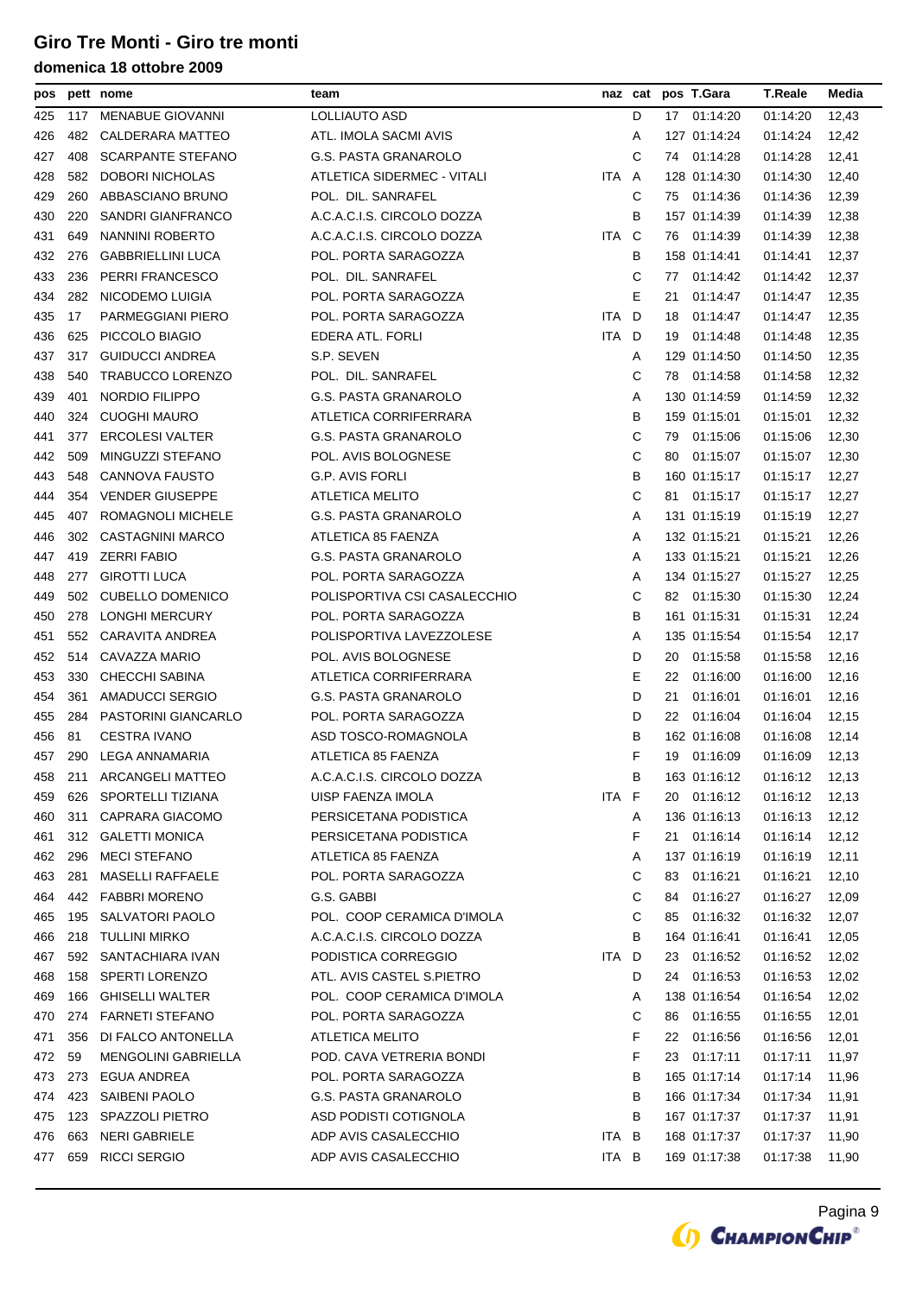| pos |     | pett nome                  | team                         |       |   |    | naz cat pos T.Gara | <b>T.Reale</b> | Media |
|-----|-----|----------------------------|------------------------------|-------|---|----|--------------------|----------------|-------|
| 425 | 117 | <b>MENABUE GIOVANNI</b>    | LOLLIAUTO ASD                |       | D |    | 17 01:14:20        | 01:14:20       | 12,43 |
| 426 | 482 | CALDERARA MATTEO           | ATL. IMOLA SACMI AVIS        |       | Α |    | 127 01:14:24       | 01:14:24       | 12,42 |
| 427 | 408 | <b>SCARPANTE STEFANO</b>   | <b>G.S. PASTA GRANAROLO</b>  |       | С |    | 74 01:14:28        | 01:14:28       | 12,41 |
| 428 | 582 | <b>DOBORI NICHOLAS</b>     | ATLETICA SIDERMEC - VITALI   | ITA A |   |    | 128 01:14:30       | 01:14:30       | 12,40 |
| 429 | 260 | ABBASCIANO BRUNO           | POL. DIL. SANRAFEL           |       | С | 75 | 01:14:36           | 01:14:36       | 12,39 |
| 430 | 220 | SANDRI GIANFRANCO          | A.C.A.C.I.S. CIRCOLO DOZZA   |       | в |    | 157 01:14:39       | 01:14:39       | 12,38 |
| 431 | 649 | NANNINI ROBERTO            | A.C.A.C.I.S. CIRCOLO DOZZA   | ITA C |   |    | 76 01:14:39        | 01:14:39       | 12,38 |
| 432 | 276 | <b>GABBRIELLINI LUCA</b>   | POL. PORTA SARAGOZZA         |       | В |    | 158 01:14:41       | 01:14:41       | 12,37 |
| 433 | 236 | PERRI FRANCESCO            | POL. DIL. SANRAFEL           |       | С | 77 | 01:14:42           | 01:14:42       | 12,37 |
| 434 | 282 | NICODEMO LUIGIA            | POL. PORTA SARAGOZZA         |       | Е | 21 | 01:14:47           | 01:14:47       | 12,35 |
| 435 | 17  | PARMEGGIANI PIERO          | POL. PORTA SARAGOZZA         | ITA D |   | 18 | 01:14:47           | 01:14:47       | 12,35 |
| 436 | 625 | PICCOLO BIAGIO             | EDERA ATL. FORLI             | ITA D |   | 19 | 01:14:48           | 01:14:48       | 12,35 |
| 437 | 317 | <b>GUIDUCCI ANDREA</b>     | S.P. SEVEN                   |       | A |    | 129 01:14:50       | 01:14:50       | 12,35 |
| 438 | 540 | <b>TRABUCCO LORENZO</b>    | POL. DIL. SANRAFEL           |       | С |    | 78 01:14:58        | 01:14:58       | 12,32 |
| 439 | 401 | NORDIO FILIPPO             | G.S. PASTA GRANAROLO         |       | Α |    | 130 01:14:59       | 01:14:59       | 12,32 |
| 440 | 324 | <b>CUOGHI MAURO</b>        | ATLETICA CORRIFERRARA        |       | в |    | 159 01:15:01       | 01:15:01       | 12,32 |
| 441 | 377 | <b>ERCOLESI VALTER</b>     | G.S. PASTA GRANAROLO         |       | С | 79 | 01:15:06           | 01:15:06       | 12,30 |
| 442 | 509 | MINGUZZI STEFANO           | POL. AVIS BOLOGNESE          |       | С | 80 | 01:15:07           | 01:15:07       | 12,30 |
| 443 | 548 | <b>CANNOVA FAUSTO</b>      | G.P. AVIS FORLI              |       | В |    | 160 01:15:17       | 01:15:17       | 12,27 |
| 444 | 354 | <b>VENDER GIUSEPPE</b>     | <b>ATLETICA MELITO</b>       |       | С | 81 | 01:15:17           | 01:15:17       | 12,27 |
| 445 | 407 | ROMAGNOLI MICHELE          | <b>G.S. PASTA GRANAROLO</b>  |       | Α |    | 131 01:15:19       | 01:15:19       | 12,27 |
| 446 | 302 | <b>CASTAGNINI MARCO</b>    | ATLETICA 85 FAENZA           |       | Α |    | 132 01:15:21       | 01:15:21       | 12,26 |
| 447 | 419 | <b>ZERRI FABIO</b>         | G.S. PASTA GRANAROLO         |       | Α |    | 133 01:15:21       | 01:15:21       | 12,26 |
| 448 | 277 | <b>GIROTTI LUCA</b>        | POL. PORTA SARAGOZZA         |       | A |    | 134 01:15:27       | 01:15:27       | 12,25 |
| 449 | 502 | CUBELLO DOMENICO           | POLISPORTIVA CSI CASALECCHIO |       | С |    | 82 01:15:30        | 01:15:30       | 12,24 |
| 450 | 278 | LONGHI MERCURY             | POL. PORTA SARAGOZZA         |       | В |    | 161 01:15:31       | 01:15:31       | 12,24 |
| 451 | 552 | CARAVITA ANDREA            | POLISPORTIVA LAVEZZOLESE     |       | Α |    | 135 01:15:54       | 01:15:54       | 12,17 |
| 452 | 514 | CAVAZZA MARIO              | POL. AVIS BOLOGNESE          |       | D | 20 | 01:15:58           | 01:15:58       | 12,16 |
| 453 | 330 | CHECCHI SABINA             | ATLETICA CORRIFERRARA        |       | Е | 22 | 01:16:00           | 01:16:00       | 12,16 |
| 454 | 361 | AMADUCCI SERGIO            | G.S. PASTA GRANAROLO         |       | D | 21 | 01:16:01           | 01:16:01       | 12,16 |
| 455 | 284 | PASTORINI GIANCARLO        | POL. PORTA SARAGOZZA         |       | D | 22 | 01:16:04           | 01:16:04       | 12,15 |
| 456 | 81  | <b>CESTRA IVANO</b>        | ASD TOSCO-ROMAGNOLA          |       | в |    | 162 01:16:08       | 01:16:08       | 12,14 |
| 457 |     | 290 LEGA ANNAMARIA         | ATLETICA 85 FAENZA           |       | F |    | 19 01:16:09        | 01:16:09       | 12,13 |
| 458 | 211 | ARCANGELI MATTEO           | A.C.A.C.I.S. CIRCOLO DOZZA   |       | B |    | 163 01:16:12       | 01:16:12       | 12,13 |
| 459 | 626 | <b>SPORTELLI TIZIANA</b>   | UISP FAENZA IMOLA            | ITA F |   | 20 | 01:16:12           | 01:16:12       | 12,13 |
| 460 | 311 | CAPRARA GIACOMO            | PERSICETANA PODISTICA        |       | Α |    | 136 01:16:13       | 01:16:13       | 12,12 |
| 461 | 312 | <b>GALETTI MONICA</b>      | PERSICETANA PODISTICA        |       | F | 21 | 01:16:14           | 01:16:14       | 12,12 |
| 462 | 296 | <b>MECI STEFANO</b>        | ATLETICA 85 FAENZA           |       | Α |    | 137 01:16:19       | 01:16:19       | 12,11 |
| 463 | 281 | <b>MASELLI RAFFAELE</b>    | POL. PORTA SARAGOZZA         |       | С | 83 | 01:16:21           | 01:16:21       | 12,10 |
| 464 | 442 | <b>FABBRI MORENO</b>       | G.S. GABBI                   |       | С | 84 | 01:16:27           | 01:16:27       | 12,09 |
| 465 | 195 | SALVATORI PAOLO            | POL. COOP CERAMICA D'IMOLA   |       | С | 85 | 01:16:32           | 01:16:32       | 12,07 |
| 466 | 218 | <b>TULLINI MIRKO</b>       | A.C.A.C.I.S. CIRCOLO DOZZA   |       | В |    | 164 01:16:41       | 01:16:41       | 12,05 |
| 467 | 592 | SANTACHIARA IVAN           | PODISTICA CORREGGIO          | ITA D |   | 23 | 01:16:52           | 01:16:52       | 12,02 |
| 468 | 158 | <b>SPERTI LORENZO</b>      | ATL. AVIS CASTEL S.PIETRO    |       | D | 24 | 01:16:53           | 01:16:53       | 12,02 |
| 469 | 166 | <b>GHISELLI WALTER</b>     | POL. COOP CERAMICA D'IMOLA   |       | A |    | 138 01:16:54       | 01:16:54       | 12,02 |
| 470 | 274 | <b>FARNETI STEFANO</b>     | POL. PORTA SARAGOZZA         |       | С | 86 | 01:16:55           | 01:16:55       | 12,01 |
| 471 | 356 | DI FALCO ANTONELLA         | <b>ATLETICA MELITO</b>       |       | F | 22 | 01:16:56           | 01:16:56       | 12,01 |
| 472 | 59  | <b>MENGOLINI GABRIELLA</b> | POD. CAVA VETRERIA BONDI     |       | F | 23 | 01:17:11           | 01:17:11       | 11,97 |
| 473 | 273 | EGUA ANDREA                | POL. PORTA SARAGOZZA         |       | в |    | 165 01:17:14       | 01:17:14       | 11,96 |
| 474 | 423 | SAIBENI PAOLO              | G.S. PASTA GRANAROLO         |       | В |    | 166 01:17:34       | 01:17:34       | 11,91 |
| 475 | 123 | <b>SPAZZOLI PIETRO</b>     | ASD PODISTI COTIGNOLA        |       | В |    | 167 01:17:37       | 01:17:37       | 11,91 |
| 476 | 663 | <b>NERI GABRIELE</b>       | ADP AVIS CASALECCHIO         | ITA B |   |    | 168 01:17:37       | 01:17:37       | 11,90 |
| 477 | 659 | <b>RICCI SERGIO</b>        | ADP AVIS CASALECCHIO         | ITA B |   |    | 169 01:17:38       | 01:17:38       | 11,90 |

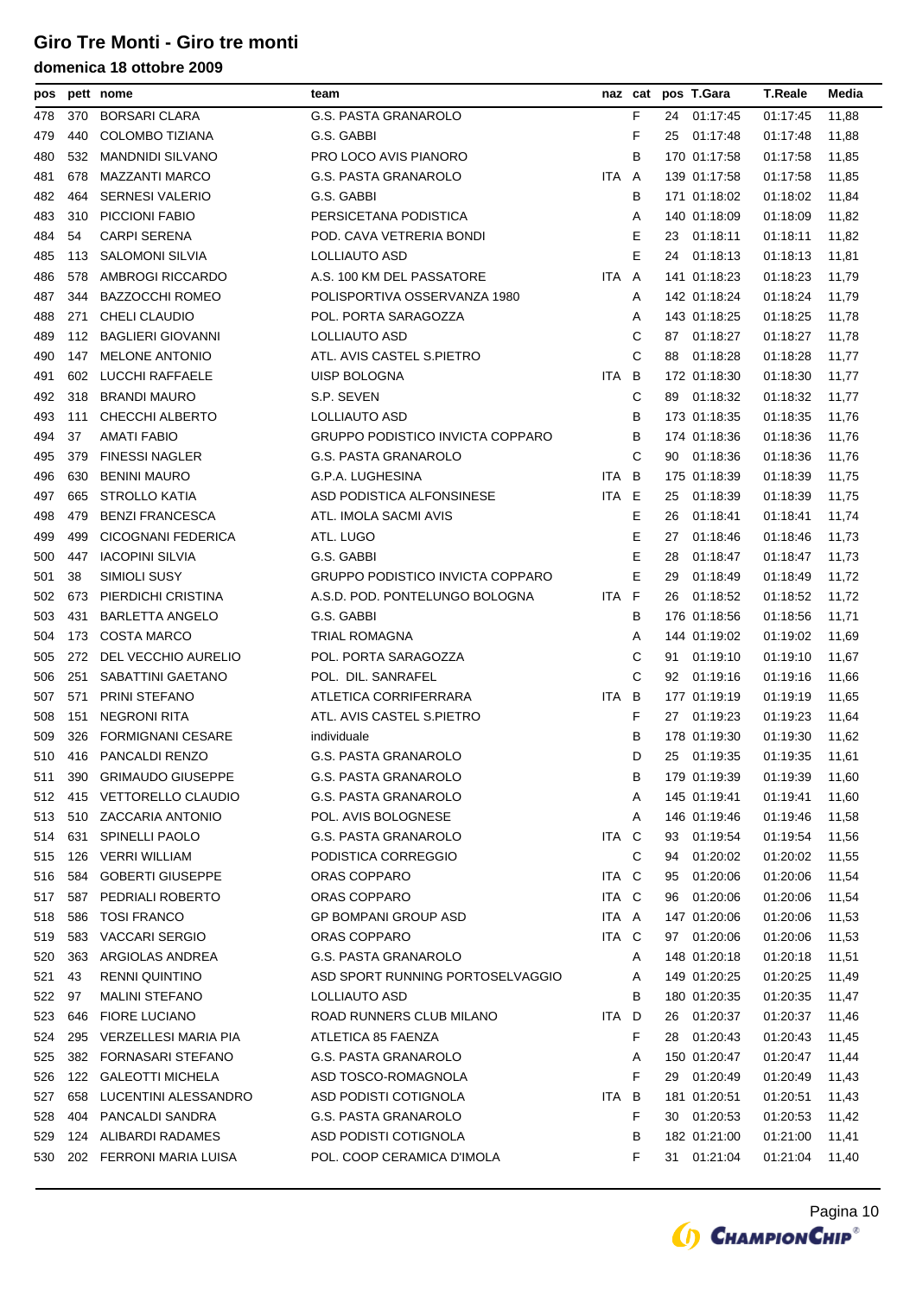| pos |     | pett nome                | team                                    |       |   |    | naz cat pos T.Gara | <b>T.Reale</b> | Media |
|-----|-----|--------------------------|-----------------------------------------|-------|---|----|--------------------|----------------|-------|
| 478 | 370 | <b>BORSARI CLARA</b>     | G.S. PASTA GRANAROLO                    |       | F |    | 24 01:17:45        | 01:17:45       | 11,88 |
| 479 | 440 | COLOMBO TIZIANA          | G.S. GABBI                              |       | F | 25 | 01:17:48           | 01:17:48       | 11,88 |
| 480 | 532 | <b>MANDNIDI SILVANO</b>  | PRO LOCO AVIS PIANORO                   |       | В |    | 170 01:17:58       | 01:17:58       | 11,85 |
| 481 | 678 | MAZZANTI MARCO           | G.S. PASTA GRANAROLO                    | ITA A |   |    | 139 01:17:58       | 01:17:58       | 11,85 |
| 482 | 464 | <b>SERNESI VALERIO</b>   | G.S. GABBI                              |       | В |    | 171 01:18:02       | 01:18:02       | 11,84 |
| 483 | 310 | PICCIONI FABIO           | PERSICETANA PODISTICA                   |       | Α |    | 140 01:18:09       | 01:18:09       | 11,82 |
| 484 | 54  | <b>CARPI SERENA</b>      | POD. CAVA VETRERIA BONDI                |       | Ε | 23 | 01:18:11           | 01:18:11       | 11,82 |
| 485 | 113 | <b>SALOMONI SILVIA</b>   | LOLLIAUTO ASD                           |       | E | 24 | 01:18:13           | 01:18:13       | 11,81 |
| 486 | 578 | AMBROGI RICCARDO         | A.S. 100 KM DEL PASSATORE               | ITA A |   |    | 141 01:18:23       | 01:18:23       | 11,79 |
| 487 | 344 | <b>BAZZOCCHI ROMEO</b>   | POLISPORTIVA OSSERVANZA 1980            |       | A |    | 142 01:18:24       | 01:18:24       | 11,79 |
| 488 | 271 | <b>CHELI CLAUDIO</b>     | POL. PORTA SARAGOZZA                    |       | Α |    | 143 01:18:25       | 01:18:25       | 11,78 |
| 489 | 112 | <b>BAGLIERI GIOVANNI</b> | LOLLIAUTO ASD                           |       | С | 87 | 01:18:27           | 01:18:27       | 11,78 |
| 490 | 147 | <b>MELONE ANTONIO</b>    | ATL. AVIS CASTEL S.PIETRO               |       | С | 88 | 01:18:28           | 01:18:28       | 11,77 |
| 491 | 602 | LUCCHI RAFFAELE          | UISP BOLOGNA                            | ITA B |   |    | 172 01:18:30       | 01:18:30       | 11,77 |
| 492 | 318 | <b>BRANDI MAURO</b>      | S.P. SEVEN                              |       | С | 89 | 01:18:32           | 01:18:32       | 11,77 |
| 493 | 111 | CHECCHI ALBERTO          | LOLLIAUTO ASD                           |       | В |    | 173 01:18:35       | 01:18:35       | 11,76 |
| 494 | 37  | <b>AMATI FABIO</b>       | GRUPPO PODISTICO INVICTA COPPARO        |       | В |    | 174 01:18:36       | 01:18:36       | 11,76 |
| 495 | 379 | <b>FINESSI NAGLER</b>    | G.S. PASTA GRANAROLO                    |       | C | 90 | 01:18:36           | 01:18:36       | 11,76 |
| 496 | 630 | <b>BENINI MAURO</b>      | G.P.A. LUGHESINA                        | ITA B |   |    | 175 01:18:39       | 01:18:39       | 11,75 |
| 497 | 665 | STROLLO KATIA            | ASD PODISTICA ALFONSINESE               | ITA E |   | 25 | 01:18:39           | 01:18:39       | 11,75 |
| 498 | 479 | <b>BENZI FRANCESCA</b>   | ATL. IMOLA SACMI AVIS                   |       | Е | 26 | 01:18:41           | 01:18:41       | 11,74 |
| 499 | 499 | CICOGNANI FEDERICA       | ATL. LUGO                               |       | Е | 27 | 01:18:46           | 01:18:46       | 11,73 |
| 500 | 447 | <b>IACOPINI SILVIA</b>   | G.S. GABBI                              |       | E | 28 | 01:18:47           | 01:18:47       | 11,73 |
| 501 | 38  | SIMIOLI SUSY             | <b>GRUPPO PODISTICO INVICTA COPPARO</b> |       | Е | 29 | 01:18:49           | 01:18:49       | 11,72 |
| 502 | 673 | PIERDICHI CRISTINA       | A.S.D. POD. PONTELUNGO BOLOGNA          | ITA F |   | 26 | 01:18:52           | 01:18:52       | 11,72 |
| 503 | 431 | <b>BARLETTA ANGELO</b>   | G.S. GABBI                              |       | В |    | 176 01:18:56       | 01:18:56       | 11,71 |
| 504 | 173 | <b>COSTA MARCO</b>       | TRIAL ROMAGNA                           |       | Α |    | 144 01:19:02       | 01:19:02       | 11,69 |
| 505 | 272 | DEL VECCHIO AURELIO      | POL. PORTA SARAGOZZA                    |       | С | 91 | 01:19:10           | 01:19:10       | 11,67 |
| 506 | 251 | SABATTINI GAETANO        | POL. DIL. SANRAFEL                      |       | С | 92 | 01:19:16           | 01:19:16       | 11,66 |
| 507 | 571 | PRINI STEFANO            | ATLETICA CORRIFERRARA                   | ITA B |   |    | 177 01:19:19       | 01:19:19       | 11,65 |
| 508 | 151 | <b>NEGRONI RITA</b>      | ATL. AVIS CASTEL S.PIETRO               |       | F |    | 27 01:19:23        | 01:19:23       | 11,64 |
| 509 | 326 | <b>FORMIGNANI CESARE</b> | individuale                             |       | В |    | 178 01:19:30       | 01:19:30       | 11,62 |
| 510 |     | 416 PANCALDI RENZO       | <b>G.S. PASTA GRANAROLO</b>             |       | D |    | 25 01:19:35        | 01:19:35       | 11,61 |
| 511 | 390 | <b>GRIMAUDO GIUSEPPE</b> | G.S. PASTA GRANAROLO                    |       | В |    | 179 01:19:39       | 01:19:39       | 11,60 |
| 512 |     | 415 VETTORELLO CLAUDIO   | G.S. PASTA GRANAROLO                    |       | Α |    | 145 01:19:41       | 01:19:41       | 11,60 |
| 513 | 510 | <b>ZACCARIA ANTONIO</b>  | POL. AVIS BOLOGNESE                     |       | A |    | 146 01:19:46       | 01:19:46       | 11,58 |
| 514 | 631 | <b>SPINELLI PAOLO</b>    | G.S. PASTA GRANAROLO                    | ITA C |   | 93 | 01:19:54           | 01:19:54       | 11,56 |
| 515 | 126 | <b>VERRI WILLIAM</b>     | PODISTICA CORREGGIO                     |       | С | 94 | 01:20:02           | 01:20:02       | 11,55 |
| 516 | 584 | <b>GOBERTI GIUSEPPE</b>  | ORAS COPPARO                            | ITA C |   | 95 | 01:20:06           | 01:20:06       | 11,54 |
| 517 | 587 | PEDRIALI ROBERTO         | ORAS COPPARO                            | ITA C |   | 96 | 01:20:06           | 01:20:06       | 11,54 |
| 518 | 586 | <b>TOSI FRANCO</b>       | <b>GP BOMPANI GROUP ASD</b>             | ITA A |   |    | 147 01:20:06       | 01:20:06       | 11,53 |
| 519 | 583 | <b>VACCARI SERGIO</b>    | ORAS COPPARO                            | ITA C |   | 97 | 01:20:06           | 01:20:06       | 11,53 |
| 520 | 363 | ARGIOLAS ANDREA          | G.S. PASTA GRANAROLO                    |       | Α |    | 148 01:20:18       | 01:20:18       | 11,51 |
| 521 | 43  | <b>RENNI QUINTINO</b>    | ASD SPORT RUNNING PORTOSELVAGGIO        |       | A |    | 149 01:20:25       | 01:20:25       | 11,49 |
| 522 | 97  | <b>MALINI STEFANO</b>    | LOLLIAUTO ASD                           |       | В |    | 180 01:20:35       | 01:20:35       | 11,47 |
| 523 | 646 | <b>FIORE LUCIANO</b>     | ROAD RUNNERS CLUB MILANO                | ITA D |   | 26 | 01:20:37           | 01:20:37       | 11,46 |
| 524 | 295 | VERZELLESI MARIA PIA     | ATLETICA 85 FAENZA                      |       | F | 28 | 01:20:43           | 01:20:43       | 11,45 |
| 525 | 382 | FORNASARI STEFANO        | G.S. PASTA GRANAROLO                    |       | A |    | 150 01:20:47       | 01:20:47       | 11,44 |
| 526 | 122 | <b>GALEOTTI MICHELA</b>  | ASD TOSCO-ROMAGNOLA                     |       | F | 29 | 01:20:49           | 01:20:49       | 11,43 |
| 527 | 658 | LUCENTINI ALESSANDRO     | ASD PODISTI COTIGNOLA                   | ITA   | B |    | 181 01:20:51       | 01:20:51       | 11,43 |
| 528 | 404 | PANCALDI SANDRA          | G.S. PASTA GRANAROLO                    |       | F | 30 | 01:20:53           | 01:20:53       | 11,42 |
| 529 | 124 | ALIBARDI RADAMES         | ASD PODISTI COTIGNOLA                   |       | В |    | 182 01:21:00       | 01:21:00       | 11,41 |
| 530 |     | 202 FERRONI MARIA LUISA  | POL. COOP CERAMICA D'IMOLA              |       | F | 31 | 01:21:04           | 01:21:04       | 11,40 |

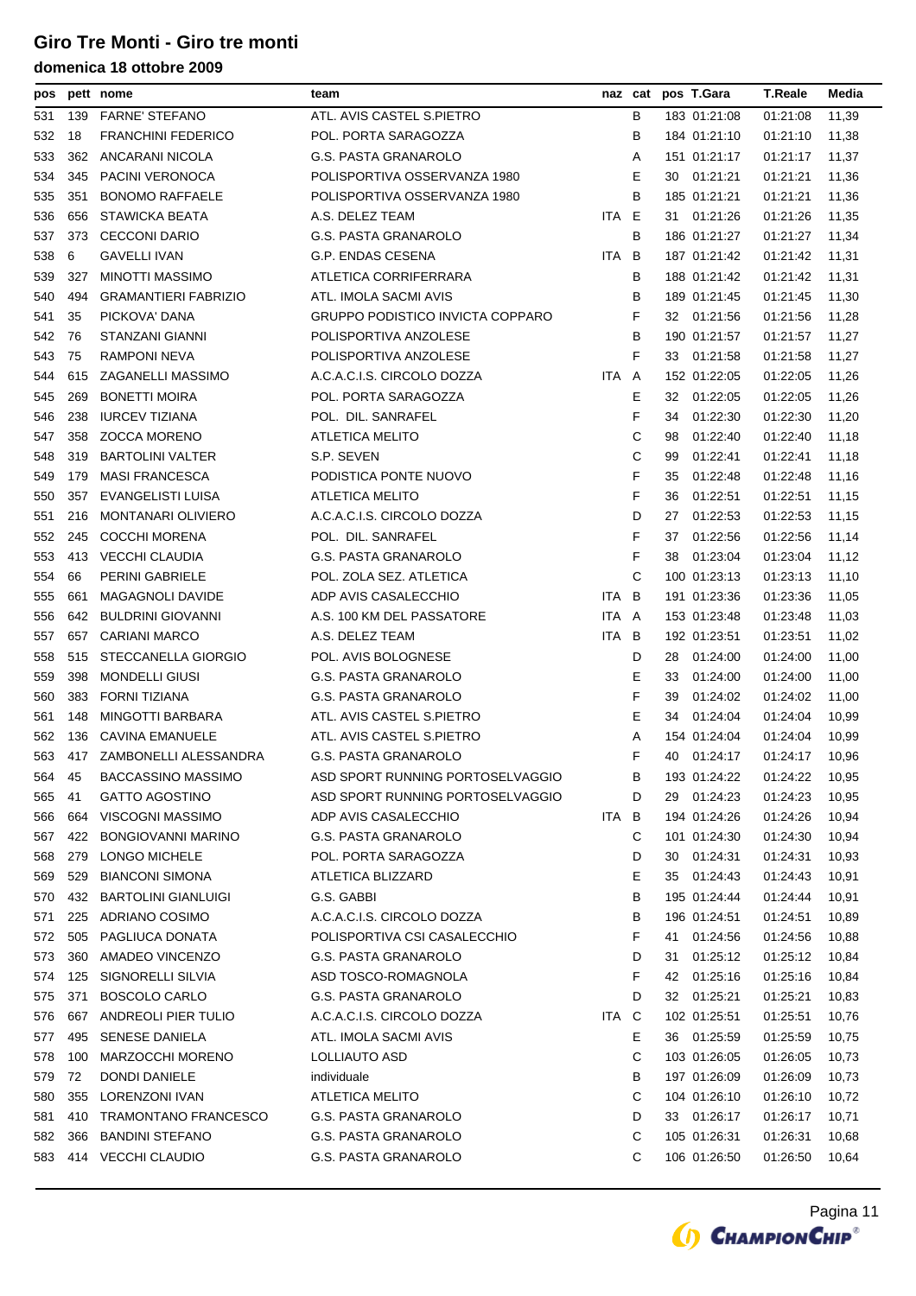| pos |     | pett nome                   | team                                    |       | naz cat | pos T.Gara      | T.Reale  | Media |
|-----|-----|-----------------------------|-----------------------------------------|-------|---------|-----------------|----------|-------|
| 531 | 139 | <b>FARNE' STEFANO</b>       | ATL. AVIS CASTEL S.PIETRO               |       | В       | 183 01:21:08    | 01:21:08 | 11,39 |
| 532 | 18  | <b>FRANCHINI FEDERICO</b>   | POL. PORTA SARAGOZZA                    |       | B       | 184 01:21:10    | 01:21:10 | 11,38 |
| 533 | 362 | ANCARANI NICOLA             | G.S. PASTA GRANAROLO                    |       | Α       | 151 01:21:17    | 01:21:17 | 11,37 |
| 534 | 345 | PACINI VERONOCA             | POLISPORTIVA OSSERVANZA 1980            |       | Е       | 01:21:21<br>30  | 01:21:21 | 11,36 |
| 535 | 351 | <b>BONOMO RAFFAELE</b>      | POLISPORTIVA OSSERVANZA 1980            |       | В       | 185 01:21:21    | 01:21:21 | 11,36 |
| 536 | 656 | STAWICKA BEATA              | A.S. DELEZ TEAM                         | ITA E |         | 01:21:26<br>31. | 01:21:26 | 11,35 |
| 537 | 373 | <b>CECCONI DARIO</b>        | <b>G.S. PASTA GRANAROLO</b>             |       | В       | 186 01:21:27    | 01:21:27 | 11,34 |
| 538 | 6   | <b>GAVELLI IVAN</b>         | G.P. ENDAS CESENA                       | ITA B |         | 187 01:21:42    | 01:21:42 | 11,31 |
| 539 | 327 | MINOTTI MASSIMO             | ATLETICA CORRIFERRARA                   |       | В       | 188 01:21:42    | 01:21:42 | 11,31 |
| 540 | 494 | <b>GRAMANTIERI FABRIZIO</b> | ATL. IMOLA SACMI AVIS                   |       | В       | 189 01:21:45    | 01:21:45 | 11,30 |
| 541 | 35  | PICKOVA' DANA               | <b>GRUPPO PODISTICO INVICTA COPPARO</b> |       | F       | 32 01:21:56     | 01:21:56 | 11,28 |
| 542 | 76  | STANZANI GIANNI             | POLISPORTIVA ANZOLESE                   |       | в       | 190 01:21:57    | 01:21:57 | 11,27 |
| 543 | 75  | RAMPONI NEVA                | POLISPORTIVA ANZOLESE                   |       | F       | 01:21:58<br>33  | 01:21:58 | 11,27 |
| 544 | 615 | ZAGANELLI MASSIMO           | A.C.A.C.I.S. CIRCOLO DOZZA              | ITA A |         | 152 01:22:05    | 01:22:05 | 11,26 |
| 545 | 269 | <b>BONETTI MOIRA</b>        | POL. PORTA SARAGOZZA                    |       | Ε       | 01:22:05<br>32  | 01:22:05 | 11,26 |
| 546 | 238 | <b>IURCEV TIZIANA</b>       | POL. DIL. SANRAFEL                      |       | F       | 34<br>01:22:30  | 01:22:30 | 11,20 |
| 547 | 358 | <b>ZOCCA MORENO</b>         | <b>ATLETICA MELITO</b>                  |       | С       | 98<br>01:22:40  | 01:22:40 | 11,18 |
| 548 | 319 | <b>BARTOLINI VALTER</b>     | S.P. SEVEN                              |       | С       | 01:22:41<br>99  | 01:22:41 | 11,18 |
| 549 | 179 | <b>MASI FRANCESCA</b>       | PODISTICA PONTE NUOVO                   |       | F       | 35<br>01:22:48  | 01:22:48 | 11,16 |
| 550 | 357 | EVANGELISTI LUISA           | ATLETICA MELITO                         |       | F       | 36<br>01:22:51  | 01:22:51 | 11,15 |
| 551 | 216 | <b>MONTANARI OLIVIERO</b>   | A.C.A.C.I.S. CIRCOLO DOZZA              |       | D       | 27<br>01:22:53  | 01:22:53 | 11,15 |
| 552 | 245 | <b>COCCHI MORENA</b>        | POL. DIL. SANRAFEL                      |       | F       | 37<br>01:22:56  | 01:22:56 | 11,14 |
| 553 | 413 | VECCHI CLAUDIA              | G.S. PASTA GRANAROLO                    |       | F       | 38<br>01:23:04  | 01:23:04 | 11,12 |
| 554 | 66  | PERINI GABRIELE             | POL. ZOLA SEZ. ATLETICA                 |       | С       | 100 01:23:13    | 01:23:13 | 11,10 |
| 555 | 661 | MAGAGNOLI DAVIDE            | ADP AVIS CASALECCHIO                    | ITA   | B       | 191 01:23:36    | 01:23:36 | 11,05 |
| 556 | 642 | <b>BULDRINI GIOVANNI</b>    | A.S. 100 KM DEL PASSATORE               | ITA A |         | 153 01:23:48    | 01:23:48 | 11,03 |
| 557 | 657 | <b>CARIANI MARCO</b>        | A.S. DELEZ TEAM                         | ITA B |         | 192 01:23:51    | 01:23:51 | 11,02 |
| 558 | 515 | STECCANELLA GIORGIO         | POL. AVIS BOLOGNESE                     |       | D       | 28<br>01:24:00  | 01:24:00 | 11,00 |
| 559 | 398 | <b>MONDELLI GIUSI</b>       | <b>G.S. PASTA GRANAROLO</b>             |       | Е       | 01:24:00<br>33  | 01:24:00 | 11,00 |
| 560 | 383 | <b>FORNI TIZIANA</b>        | <b>G.S. PASTA GRANAROLO</b>             |       | F       | 01:24:02<br>39  | 01:24:02 | 11,00 |
| 561 | 148 | MINGOTTI BARBARA            | ATL. AVIS CASTEL S.PIETRO               |       | Е       | 01:24:04<br>34  | 01:24:04 | 10,99 |
| 562 | 136 | <b>CAVINA EMANUELE</b>      | ATL. AVIS CASTEL S.PIETRO               |       | Α       | 154 01:24:04    | 01:24:04 | 10,99 |
| 563 |     | 417 ZAMBONELLI ALESSANDRA   | <b>G.S. PASTA GRANAROLO</b>             |       | F       | 40 01:24:17     | 01:24:17 | 10,96 |
| 564 | 45  | BACCASSINO MASSIMO          | ASD SPORT RUNNING PORTOSELVAGGIO        |       | В       | 193 01:24:22    | 01:24:22 | 10,95 |
| 565 | 41  | <b>GATTO AGOSTINO</b>       | ASD SPORT RUNNING PORTOSELVAGGIO        |       | D       | 01:24:23<br>29  | 01:24:23 | 10,95 |
| 566 | 664 | VISCOGNI MASSIMO            | ADP AVIS CASALECCHIO                    | ITA B |         | 194 01:24:26    | 01:24:26 | 10,94 |
| 567 | 422 | <b>BONGIOVANNI MARINO</b>   | G.S. PASTA GRANAROLO                    |       | С       | 101 01:24:30    | 01:24:30 | 10,94 |
| 568 | 279 | LONGO MICHELE               | POL. PORTA SARAGOZZA                    |       | D       | 01:24:31<br>30  | 01:24:31 | 10,93 |
| 569 | 529 | <b>BIANCONI SIMONA</b>      | ATLETICA BLIZZARD                       |       | Ε       | 01:24:43<br>35  | 01:24:43 | 10,91 |
| 570 | 432 | <b>BARTOLINI GIANLUIGI</b>  | G.S. GABBI                              |       | в       | 195 01:24:44    | 01:24:44 | 10,91 |
| 571 | 225 | ADRIANO COSIMO              | A.C.A.C.I.S. CIRCOLO DOZZA              |       | в       | 196 01:24:51    | 01:24:51 | 10,89 |
| 572 | 505 | PAGLIUCA DONATA             | POLISPORTIVA CSI CASALECCHIO            |       | F       | 01:24:56<br>41  | 01:24:56 | 10,88 |
| 573 | 360 | AMADEO VINCENZO             | <b>G.S. PASTA GRANAROLO</b>             |       | D       | 01:25:12<br>31  | 01:25:12 | 10,84 |
| 574 | 125 | SIGNORELLI SILVIA           | ASD TOSCO-ROMAGNOLA                     |       | F       | 42<br>01:25:16  | 01:25:16 | 10,84 |
| 575 | 371 | BOSCOLO CARLO               | G.S. PASTA GRANAROLO                    |       | D       | 01:25:21<br>32  | 01:25:21 | 10,83 |
| 576 | 667 | ANDREOLI PIER TULIO         | A.C.A.C.I.S. CIRCOLO DOZZA              | ITA.  | C       | 102 01:25:51    | 01:25:51 | 10,76 |
| 577 | 495 | SENESE DANIELA              | ATL. IMOLA SACMI AVIS                   |       | Е       | 01:25:59<br>36  | 01:25:59 | 10,75 |
| 578 | 100 | MARZOCCHI MORENO            | LOLLIAUTO ASD                           |       | С       | 103 01:26:05    | 01:26:05 | 10,73 |
| 579 | 72  | <b>DONDI DANIELE</b>        | individuale                             |       | в       | 197 01:26:09    | 01:26:09 | 10,73 |
| 580 | 355 | LORENZONI IVAN              | ATLETICA MELITO                         |       | С       | 104 01:26:10    | 01:26:10 | 10,72 |
| 581 | 410 | <b>TRAMONTANO FRANCESCO</b> | G.S. PASTA GRANAROLO                    |       | D       | 33 01:26:17     | 01:26:17 | 10,71 |
| 582 | 366 | <b>BANDINI STEFANO</b>      | G.S. PASTA GRANAROLO                    |       | С       | 105 01:26:31    | 01:26:31 | 10,68 |
| 583 |     | 414 VECCHI CLAUDIO          | G.S. PASTA GRANAROLO                    |       | С       | 106 01:26:50    | 01:26:50 | 10,64 |
|     |     |                             |                                         |       |         |                 |          |       |